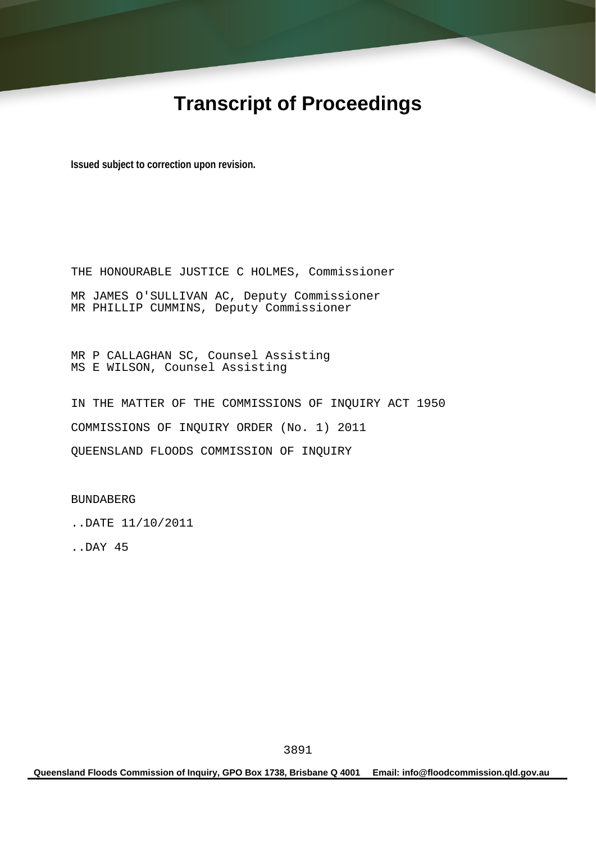# **Transcript of Proceedings**

**Issued subject to correction upon revision.** 

THE HONOURABLE JUSTICE C HOLMES, Commissioner MR JAMES O'SULLIVAN AC, Deputy Commissioner MR PHILLIP CUMMINS, Deputy Commissioner

MR P CALLAGHAN SC, Counsel Assisting MS E WILSON, Counsel Assisting

IN THE MATTER OF THE COMMISSIONS OF INQUIRY ACT 1950 COMMISSIONS OF INQUIRY ORDER (No. 1) 2011 QUEENSLAND FLOODS COMMISSION OF INQUIRY

BUNDABERG

..DATE 11/10/2011

..DAY 45

**Queensland Floods Commission of Inquiry, GPO Box 1738, Brisbane Q 4001 Email: info@floodcommission.qld.gov.au**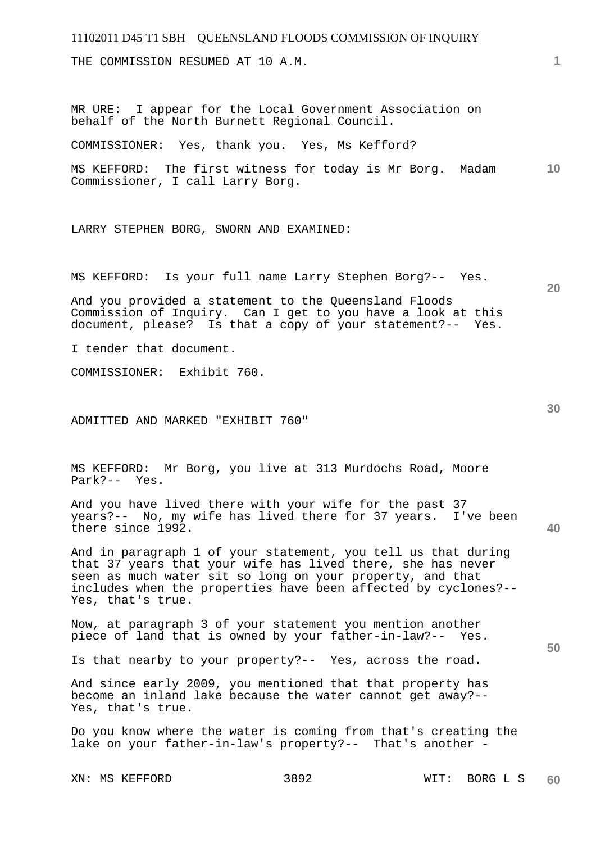## 11102011 D45 T1 SBH QUEENSLAND FLOODS COMMISSION OF INQUIRY **1 10 20 30 40 50**  THE COMMISSION RESUMED AT 10 A.M. MR URE: I appear for the Local Government Association on behalf of the North Burnett Regional Council. COMMISSIONER: Yes, thank you. Yes, Ms Kefford? MS KEFFORD: The first witness for today is Mr Borg. Madam Commissioner, I call Larry Borg. LARRY STEPHEN BORG, SWORN AND EXAMINED: MS KEFFORD: Is your full name Larry Stephen Borg?-- Yes. And you provided a statement to the Queensland Floods Commission of Inquiry. Can I get to you have a look at this document, please? Is that a copy of your statement?-- Yes. I tender that document. COMMISSIONER: Exhibit 760. ADMITTED AND MARKED "EXHIBIT 760" MS KEFFORD: Mr Borg, you live at 313 Murdochs Road, Moore Park?-- Yes. And you have lived there with your wife for the past 37 years?-- No, my wife has lived there for 37 years. I've been there since 1992. And in paragraph 1 of your statement, you tell us that during that 37 years that your wife has lived there, she has never seen as much water sit so long on your property, and that includes when the properties have been affected by cyclones?-- Yes, that's true. Now, at paragraph 3 of your statement you mention another piece of land that is owned by your father-in-law?-- Yes. Is that nearby to your property?-- Yes, across the road. And since early 2009, you mentioned that that property has become an inland lake because the water cannot get away?-- Yes, that's true. Do you know where the water is coming from that's creating the lake on your father-in-law's property?-- That's another -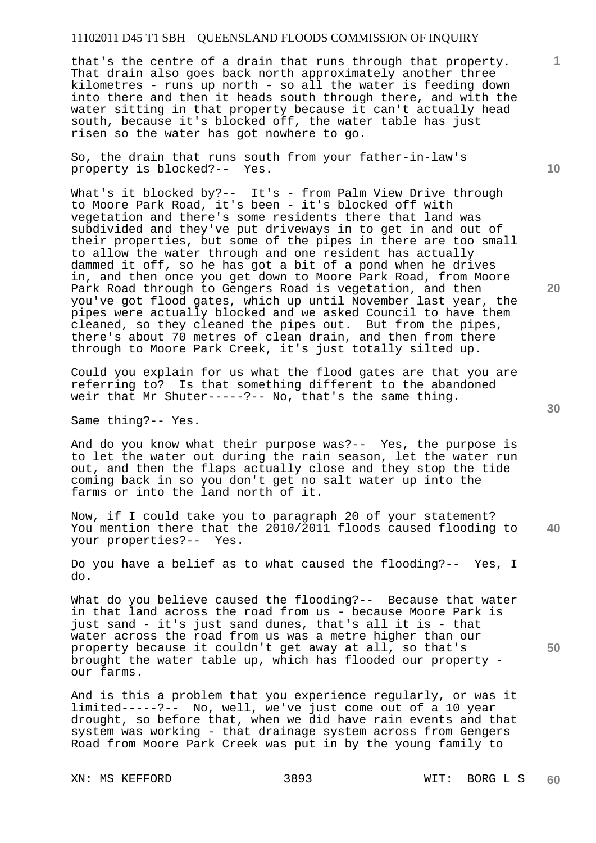that's the centre of a drain that runs through that property. That drain also goes back north approximately another three kilometres - runs up north - so all the water is feeding down into there and then it heads south through there, and with the water sitting in that property because it can't actually head south, because it's blocked off, the water table has just risen so the water has got nowhere to go.

So, the drain that runs south from your father-in-law's property is blocked?-- Yes.

What's it blocked by?-- It's - from Palm View Drive through to Moore Park Road, it's been - it's blocked off with vegetation and there's some residents there that land was subdivided and they've put driveways in to get in and out of their properties, but some of the pipes in there are too small to allow the water through and one resident has actually dammed it off, so he has got a bit of a pond when he drives in, and then once you get down to Moore Park Road, from Moore Park Road through to Gengers Road is vegetation, and then you've got flood gates, which up until November last year, the pipes were actually blocked and we asked Council to have them cleaned, so they cleaned the pipes out. But from the pipes, there's about 70 metres of clean drain, and then from there through to Moore Park Creek, it's just totally silted up.

Could you explain for us what the flood gates are that you are referring to? Is that something different to the abandoned weir that Mr Shuter-----?-- No, that's the same thing.

Same thing?-- Yes.

And do you know what their purpose was?-- Yes, the purpose is to let the water out during the rain season, let the water run out, and then the flaps actually close and they stop the tide coming back in so you don't get no salt water up into the farms or into the land north of it.

**40**  Now, if I could take you to paragraph 20 of your statement? You mention there that the 2010/2011 floods caused flooding to your properties?-- Yes.

Do you have a belief as to what caused the flooding?-- Yes, I do.

What do you believe caused the flooding?-- Because that water in that land across the road from us - because Moore Park is just sand - it's just sand dunes, that's all it is - that water across the road from us was a metre higher than our property because it couldn't get away at all, so that's brought the water table up, which has flooded our property our farms.

And is this a problem that you experience regularly, or was it limited-----?-- No, well, we've just come out of a 10 year drought, so before that, when we did have rain events and that system was working - that drainage system across from Gengers Road from Moore Park Creek was put in by the young family to

XN: MS KEFFORD 3893 WIT: BORG L S

**10** 

**1**

**20**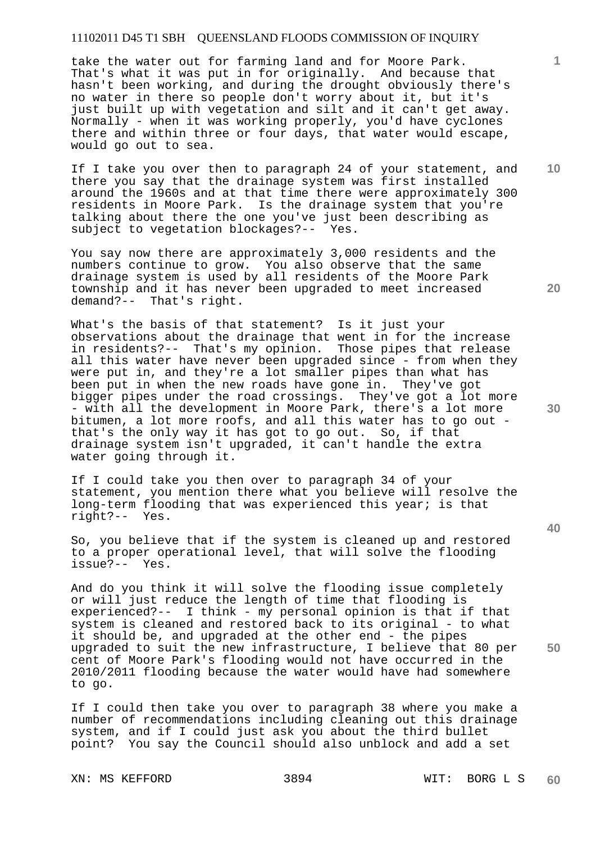take the water out for farming land and for Moore Park. That's what it was put in for originally. And because that hasn't been working, and during the drought obviously there's no water in there so people don't worry about it, but it's just built up with vegetation and silt and it can't get away. Normally - when it was working properly, you'd have cyclones there and within three or four days, that water would escape, would go out to sea.

If I take you over then to paragraph 24 of your statement, and there you say that the drainage system was first installed around the 1960s and at that time there were approximately 300 residents in Moore Park. Is the drainage system that you're talking about there the one you've just been describing as<br>subject to vegetation blockages?-- Yes. subject to vegetation blockages?--

You say now there are approximately 3,000 residents and the numbers continue to grow. You also observe that the same drainage system is used by all residents of the Moore Park township and it has never been upgraded to meet increased demand?-- That's right.

What's the basis of that statement? Is it just your observations about the drainage that went in for the increase in residents?-- That's my opinion. Those pipes that release all this water have never been upgraded since - from when they were put in, and they're a lot smaller pipes than what has been put in when the new roads have gone in. They've got bigger pipes under the road crossings. They've got a lot more - with all the development in Moore Park, there's a lot more bitumen, a lot more roofs, and all this water has to go out that's the only way it has got to go out. So, if that drainage system isn't upgraded, it can't handle the extra water going through it.

If I could take you then over to paragraph 34 of your statement, you mention there what you believe will resolve the long-term flooding that was experienced this year; is that right?-- Yes.

So, you believe that if the system is cleaned up and restored to a proper operational level, that will solve the flooding issue?-- Yes.

And do you think it will solve the flooding issue completely or will just reduce the length of time that flooding is experienced?-- I think - my personal opinion is that if that system is cleaned and restored back to its original - to what it should be, and upgraded at the other end - the pipes upgraded to suit the new infrastructure, I believe that 80 per cent of Moore Park's flooding would not have occurred in the 2010/2011 flooding because the water would have had somewhere to go.

If I could then take you over to paragraph 38 where you make a number of recommendations including cleaning out this drainage system, and if I could just ask you about the third bullet point? You say the Council should also unblock and add a set

XN: MS KEFFORD 3894 WIT: BORG L S

**10** 

**1**

**20** 

**30** 

**40**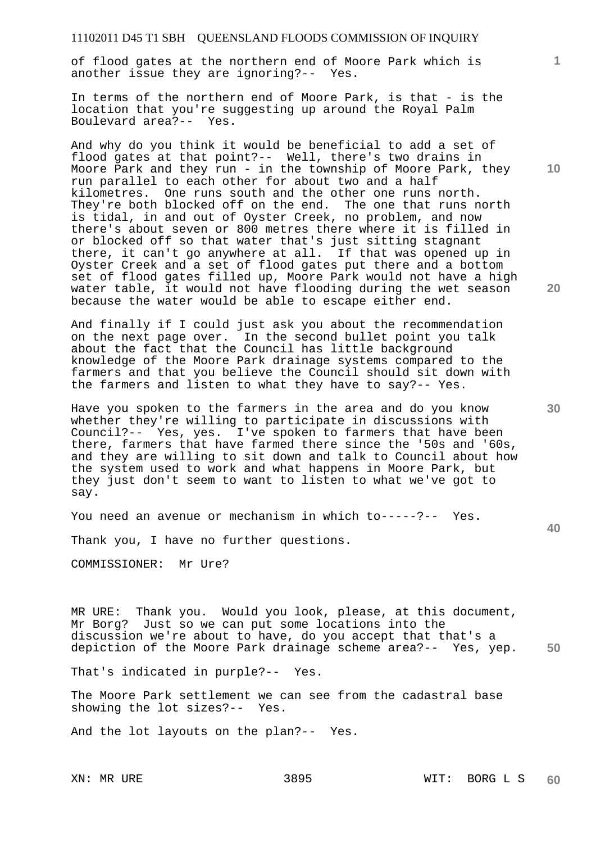of flood gates at the northern end of Moore Park which is another issue they are ignoring?-- Yes.

In terms of the northern end of Moore Park, is that - is the location that you're suggesting up around the Royal Palm Boulevard area?-- Yes.

And why do you think it would be beneficial to add a set of flood gates at that point?-- Well, there's two drains in Moore Park and they run - in the township of Moore Park, they run parallel to each other for about two and a half kilometres. One runs south and the other one runs north. They're both blocked off on the end. The one that runs north is tidal, in and out of Oyster Creek, no problem, and now there's about seven or 800 metres there where it is filled in or blocked off so that water that's just sitting stagnant there, it can't go anywhere at all. If that was opened up in Oyster Creek and a set of flood gates put there and a bottom set of flood gates filled up, Moore Park would not have a high water table, it would not have flooding during the wet season because the water would be able to escape either end.

And finally if I could just ask you about the recommendation on the next page over. In the second bullet point you talk about the fact that the Council has little background knowledge of the Moore Park drainage systems compared to the farmers and that you believe the Council should sit down with the farmers and listen to what they have to say?-- Yes.

Have you spoken to the farmers in the area and do you know whether they're willing to participate in discussions with Council?-- Yes, yes. I've spoken to farmers that have been there, farmers that have farmed there since the '50s and '60s, and they are willing to sit down and talk to Council about how the system used to work and what happens in Moore Park, but they just don't seem to want to listen to what we've got to say.

You need an avenue or mechanism in which to-----?-- Yes.

Thank you, I have no further questions.

COMMISSIONER: Mr Ure?

**50**  MR URE: Thank you. Would you look, please, at this document, Mr Borg? Just so we can put some locations into the discussion we're about to have, do you accept that that's a depiction of the Moore Park drainage scheme area?-- Yes, yep.

That's indicated in purple?-- Yes.

The Moore Park settlement we can see from the cadastral base showing the lot sizes?-- Yes.

And the lot layouts on the plan?-- Yes.

**10** 

**1**

**20**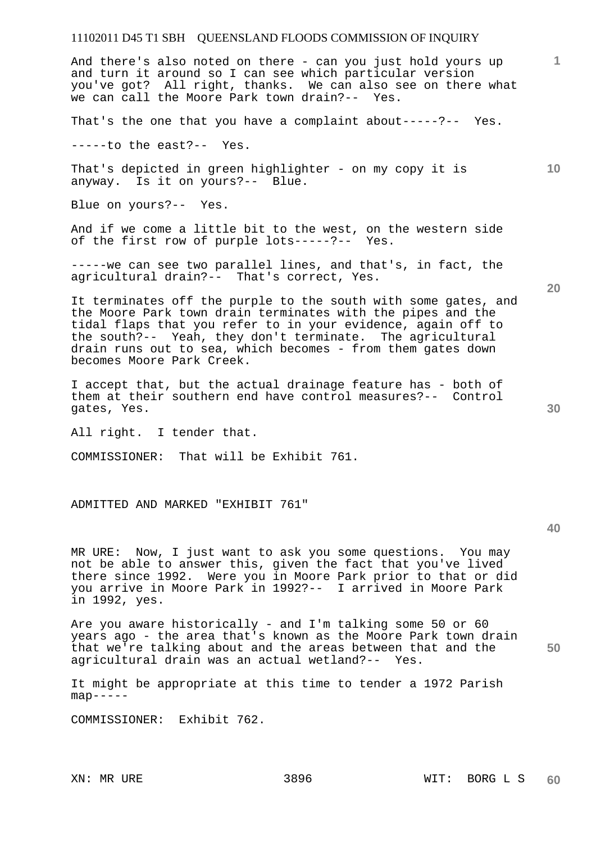### 11102011 D45 T1 SBH QUEENSLAND FLOODS COMMISSION OF INQUIRY **1 10 20 30 40**  And there's also noted on there - can you just hold yours up and turn it around so I can see which particular version you've got? All right, thanks. We can also see on there what we can call the Moore Park town drain?-- Yes. That's the one that you have a complaint about-----?-- Yes. -----to the east?-- Yes. That's depicted in green highlighter - on my copy it is anyway. Is it on yours?-- Blue. Blue on yours?-- Yes. And if we come a little bit to the west, on the western side of the first row of purple lots-----?-- Yes. -----we can see two parallel lines, and that's, in fact, the agricultural drain?-- That's correct, Yes. It terminates off the purple to the south with some gates, and the Moore Park town drain terminates with the pipes and the tidal flaps that you refer to in your evidence, again off to the south?-- Yeah, they don't terminate. The agricultural drain runs out to sea, which becomes - from them gates down becomes Moore Park Creek. I accept that, but the actual drainage feature has - both of them at their southern end have control measures?-- Control gates, Yes. All right. I tender that. COMMISSIONER: That will be Exhibit 761. ADMITTED AND MARKED "EXHIBIT 761" MR URE: Now, I just want to ask you some questions. You may not be able to answer this, given the fact that you've lived there since 1992. Were you in Moore Park prior to that or did you arrive in Moore Park in 1992?-- I arrived in Moore Park in 1992, yes. Are you aware historically - and I'm talking some 50 or 60 years ago - the area that's known as the Moore Park town drain

It might be appropriate at this time to tender a 1972 Parish  $map---$ 

that we're talking about and the areas between that and the

agricultural drain was an actual wetland?-- Yes.

COMMISSIONER: Exhibit 762.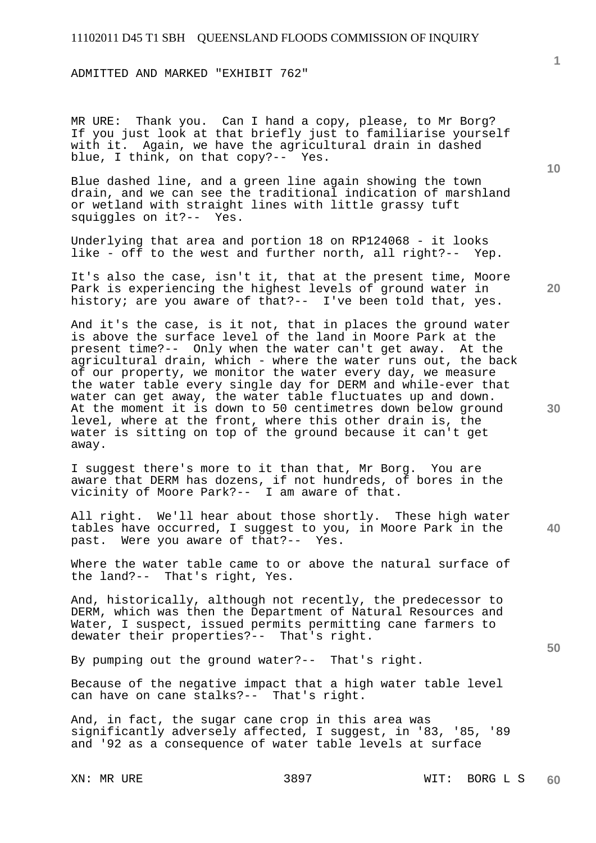ADMITTED AND MARKED "EXHIBIT 762"

MR URE: Thank you. Can I hand a copy, please, to Mr Borg? If you just look at that briefly just to familiarise yourself with it. Again, we have the agricultural drain in dashed blue, I think, on that copy?-- Yes.

Blue dashed line, and a green line again showing the town drain, and we can see the traditional indication of marshland or wetland with straight lines with little grassy tuft squiggles on it?-- Yes.

Underlying that area and portion 18 on RP124068 - it looks like - off to the west and further north, all right?-- Yep.

It's also the case, isn't it, that at the present time, Moore Park is experiencing the highest levels of ground water in history; are you aware of that?-- I've been told that, yes.

And it's the case, is it not, that in places the ground water is above the surface level of the land in Moore Park at the present time?-- Only when the water can't get away. At the agricultural drain, which - where the water runs out, the back of our property, we monitor the water every day, we measure the water table every single day for DERM and while-ever that water can get away, the water table fluctuates up and down. At the moment it is down to 50 centimetres down below ground level, where at the front, where this other drain is, the water is sitting on top of the ground because it can't get away.

I suggest there's more to it than that, Mr Borg. You are aware that DERM has dozens, if not hundreds, of bores in the vicinity of Moore Park?-- I am aware of that.

All right. We'll hear about those shortly. These high water tables have occurred, I suggest to you, in Moore Park in the past. Were you aware of that?-- Yes.

Where the water table came to or above the natural surface of the land?-- That's right, Yes.

And, historically, although not recently, the predecessor to DERM, which was then the Department of Natural Resources and Water, I suspect, issued permits permitting cane farmers to dewater their properties?-- That's right.

By pumping out the ground water?-- That's right.

Because of the negative impact that a high water table level can have on cane stalks?-- That's right.

And, in fact, the sugar cane crop in this area was significantly adversely affected, I suggest, in '83, '85, '89 and '92 as a consequence of water table levels at surface

**1**

**20** 

**30**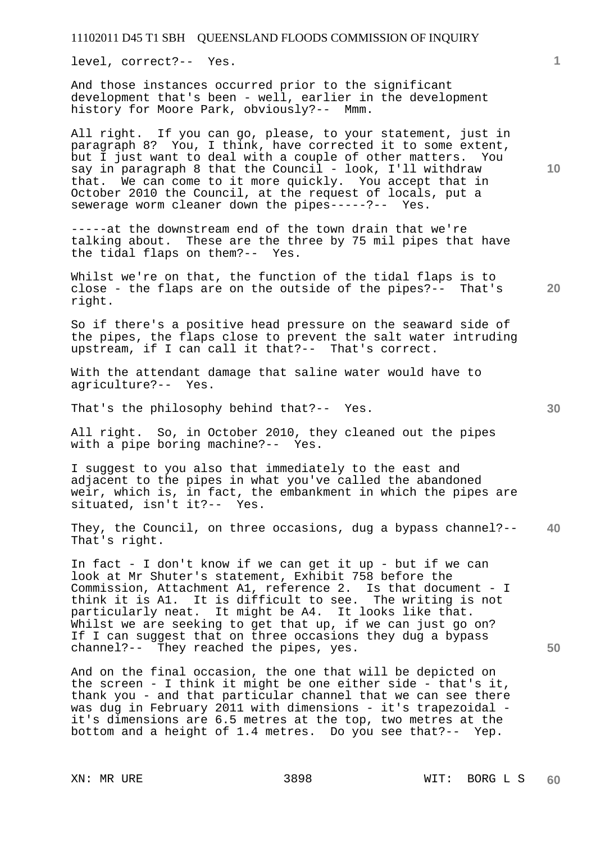level, correct?-- Yes.

And those instances occurred prior to the significant development that's been - well, earlier in the development history for Moore Park, obviously?-- Mmm.

All right. If you can go, please, to your statement, just in paragraph 8? You, I think, have corrected it to some extent, but I just want to deal with a couple of other matters. You say in paragraph 8 that the Council - look, I'll withdraw that. We can come to it more quickly. You accept that in October 2010 the Council, at the request of locals, put a sewerage worm cleaner down the pipes-----?-- Yes.

-----at the downstream end of the town drain that we're talking about. These are the three by 75 mil pipes that have the tidal flaps on them?-- Yes.

Whilst we're on that, the function of the tidal flaps is to close - the flaps are on the outside of the pipes?-- That's right.

So if there's a positive head pressure on the seaward side of the pipes, the flaps close to prevent the salt water intruding upstream, if I can call it that?-- That's correct.

With the attendant damage that saline water would have to agriculture?-- Yes.

That's the philosophy behind that?-- Yes.

All right. So, in October 2010, they cleaned out the pipes with a pipe boring machine?-- Yes.

I suggest to you also that immediately to the east and adjacent to the pipes in what you've called the abandoned weir, which is, in fact, the embankment in which the pipes are situated, isn't it?-- Yes.

**40**  They, the Council, on three occasions, dug a bypass channel?-- That's right.

In fact - I don't know if we can get it up - but if we can look at Mr Shuter's statement, Exhibit 758 before the Commission, Attachment A1, reference 2. Is that document - I think it is A1. It is difficult to see. The writing is not particularly neat. It might be A4. It looks like that. Whilst we are seeking to get that up, if we can just go on? If I can suggest that on three occasions they dug a bypass channel?-- They reached the pipes, yes.

And on the final occasion, the one that will be depicted on the screen - I think it might be one either side - that's it, thank you - and that particular channel that we can see there was dug in February 2011 with dimensions - it's trapezoidal it's dimensions are 6.5 metres at the top, two metres at the bottom and a height of 1.4 metres. Do you see that?-- Yep.

**1**

**50**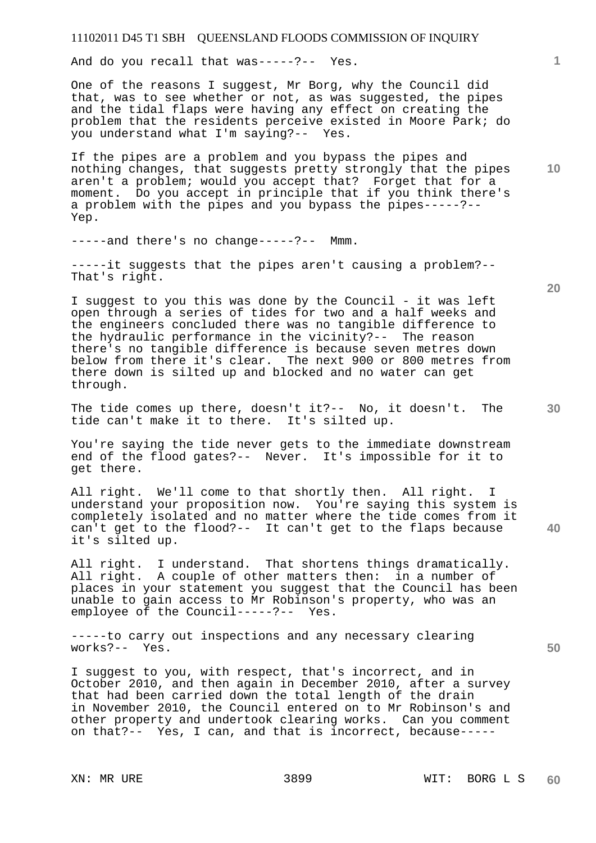And do you recall that was-----?-- Yes.

One of the reasons I suggest, Mr Borg, why the Council did that, was to see whether or not, as was suggested, the pipes and the tidal flaps were having any effect on creating the problem that the residents perceive existed in Moore Park; do you understand what I'm saying?-- Yes.

If the pipes are a problem and you bypass the pipes and nothing changes, that suggests pretty strongly that the pipes aren't a problem; would you accept that? Forget that for a moment. Do you accept in principle that if you think there's a problem with the pipes and you bypass the pipes-----?-- Yep.

-----and there's no change-----?-- Mmm.

-----it suggests that the pipes aren't causing a problem?-- That's right.

I suggest to you this was done by the Council - it was left open through a series of tides for two and a half weeks and the engineers concluded there was no tangible difference to the hydraulic performance in the vicinity?-- The reason there's no tangible difference is because seven metres down below from there it's clear. The next 900 or 800 metres from there down is silted up and blocked and no water can get through.

The tide comes up there, doesn't it?-- No, it doesn't. The tide can't make it to there. It's silted up.

You're saying the tide never gets to the immediate downstream end of the flood gates?-- Never. It's impossible for it to get there.

All right. We'll come to that shortly then. All right. I understand your proposition now. You're saying this system is completely isolated and no matter where the tide comes from it can't get to the flood?-- It can't get to the flaps because it's silted up.

All right. I understand. That shortens things dramatically. All right. A couple of other matters then: in a number of places in your statement you suggest that the Council has been unable to gain access to Mr Robinson's property, who was an employee of the Council-----?-- Yes.

-----to carry out inspections and any necessary clearing works?-- Yes.

I suggest to you, with respect, that's incorrect, and in October 2010, and then again in December 2010, after a survey that had been carried down the total length of the drain in November 2010, the Council entered on to Mr Robinson's and other property and undertook clearing works. Can you comment on that?-- Yes, I can, and that is incorrect, because-----

**20** 

**40** 

**50** 

**10**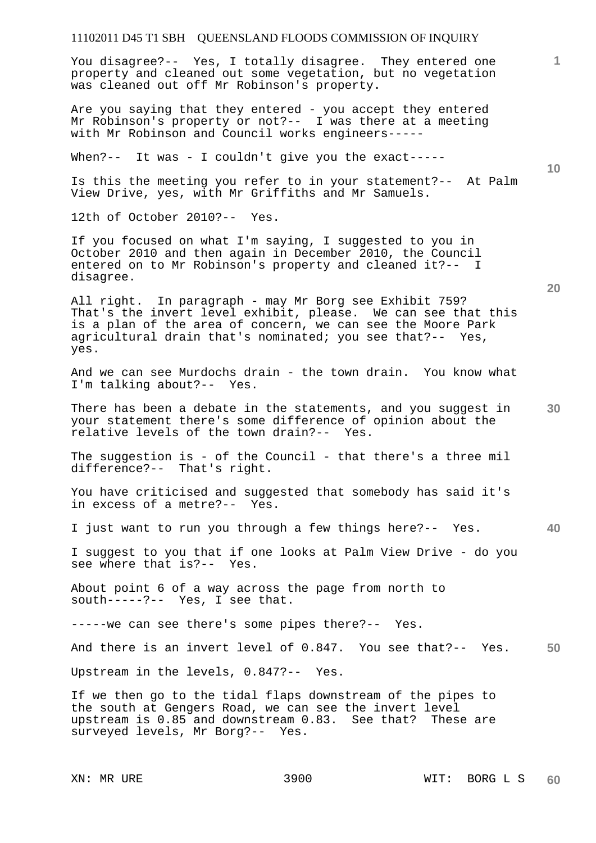You disagree?-- Yes, I totally disagree. They entered one property and cleaned out some vegetation, but no vegetation was cleaned out off Mr Robinson's property.

Are you saying that they entered - you accept they entered Mr Robinson's property or not?-- I was there at a meeting with Mr Robinson and Council works engineers-----

When?-- It was - I couldn't give you the exact-----

Is this the meeting you refer to in your statement?-- At Palm View Drive, yes, with Mr Griffiths and Mr Samuels.

12th of October 2010?-- Yes.

If you focused on what I'm saying, I suggested to you in October 2010 and then again in December 2010, the Council entered on to Mr Robinson's property and cleaned it?-- I disagree.

All right. In paragraph - may Mr Borg see Exhibit 759? That's the invert level exhibit, please. We can see that this is a plan of the area of concern, we can see the Moore Park agricultural drain that's nominated; you see that?-- Yes, yes.

And we can see Murdochs drain - the town drain. You know what I'm talking about?-- Yes.

**30**  There has been a debate in the statements, and you suggest in your statement there's some difference of opinion about the relative levels of the town drain?-- Yes.

The suggestion is - of the Council - that there's a three mil difference?-- That's right.

You have criticised and suggested that somebody has said it's in excess of a metre?-- Yes.

**40**  I just want to run you through a few things here?-- Yes.

I suggest to you that if one looks at Palm View Drive - do you see where that is?--

About point 6 of a way across the page from north to south-----?-- Yes, I see that.

-----we can see there's some pipes there?-- Yes.

**50**  And there is an invert level of 0.847. You see that?-- Yes.

Upstream in the levels, 0.847?-- Yes.

If we then go to the tidal flaps downstream of the pipes to the south at Gengers Road, we can see the invert level upstream is 0.85 and downstream 0.83. See that? These are surveyed levels, Mr Borg?-- Yes.

**1**

**10**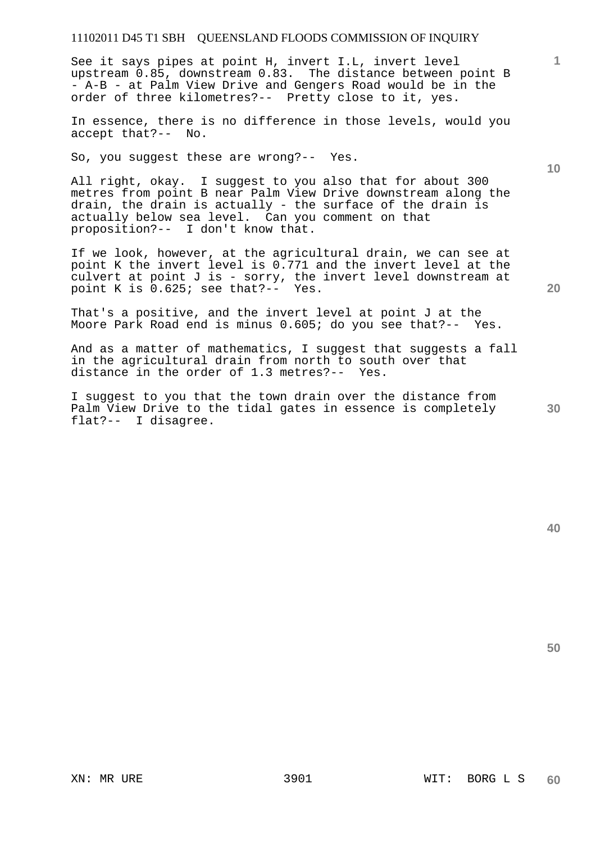See it says pipes at point H, invert I.L, invert level upstream 0.85, downstream 0.83. The distance between point B - A-B - at Palm View Drive and Gengers Road would be in the order of three kilometres?-- Pretty close to it, yes.

In essence, there is no difference in those levels, would you accept that?-- No.

So, you suggest these are wrong?-- Yes.

All right, okay. I suggest to you also that for about 300 metres from point B near Palm View Drive downstream along the drain, the drain is actually - the surface of the drain is actually below sea level. Can you comment on that proposition?-- I don't know that.

If we look, however, at the agricultural drain, we can see at point K the invert level is 0.771 and the invert level at the culvert at point J is - sorry, the invert level downstream at point K is 0.625; see that?-- Yes.

That's a positive, and the invert level at point J at the Moore Park Road end is minus 0.605; do you see that?-- Yes.

And as a matter of mathematics, I suggest that suggests a fall in the agricultural drain from north to south over that distance in the order of 1.3 metres?-- Yes.

I suggest to you that the town drain over the distance from Palm View Drive to the tidal gates in essence is completely flat?-- I disagree.

**20** 

**40** 

**1**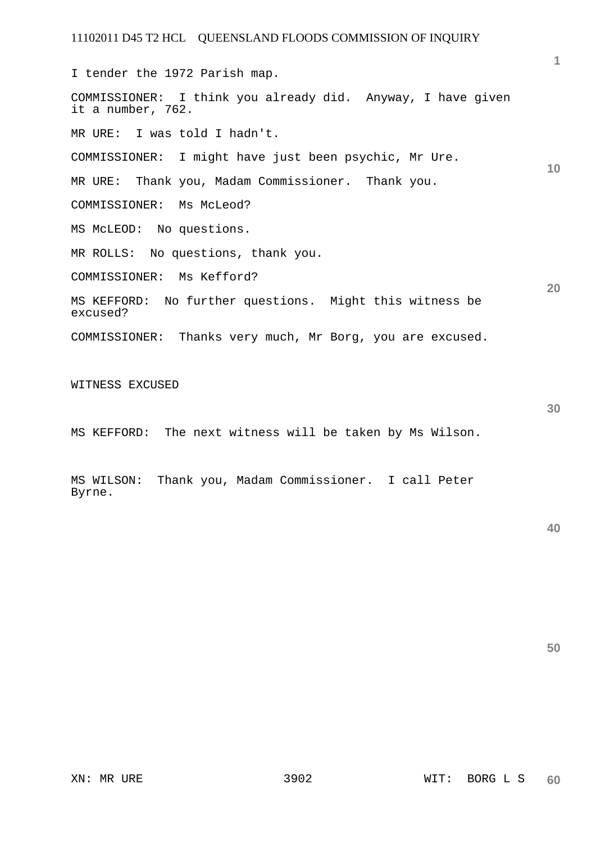**10 20**  I tender the 1972 Parish map. COMMISSIONER: I think you already did. Anyway, I have given it a number, 762. MR URE: I was told I hadn't. COMMISSIONER: I might have just been psychic, Mr Ure. MR URE: Thank you, Madam Commissioner. Thank you. COMMISSIONER: Ms McLeod? MS McLEOD: No questions. MR ROLLS: No questions, thank you. COMMISSIONER: Ms Kefford? MS KEFFORD: No further questions. Might this witness be excused? COMMISSIONER: Thanks very much, Mr Borg, you are excused. WITNESS EXCUSED

MS KEFFORD: The next witness will be taken by Ms Wilson.

MS WILSON: Thank you, Madam Commissioner. I call Peter Byrne.

**50** 

**30**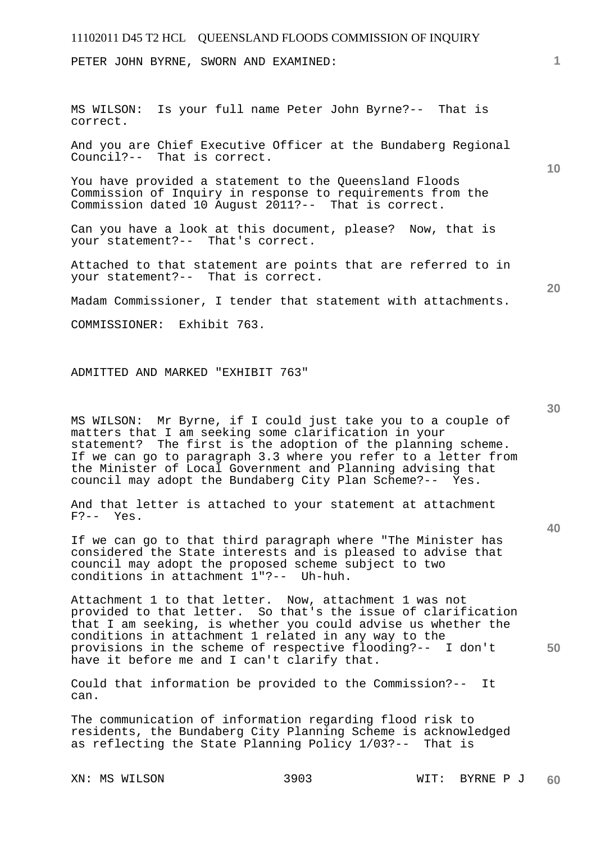PETER JOHN BYRNE, SWORN AND EXAMINED:

MS WILSON: Is your full name Peter John Byrne?-- That is correct.

And you are Chief Executive Officer at the Bundaberg Regional Council?-- That is correct.

You have provided a statement to the Queensland Floods Commission of Inquiry in response to requirements from the Commission dated 10 August 2011?-- That is correct.

Can you have a look at this document, please? Now, that is your statement?-- That's correct.

Attached to that statement are points that are referred to in your statement?-- That is correct.

Madam Commissioner, I tender that statement with attachments.

COMMISSIONER: Exhibit 763.

ADMITTED AND MARKED "EXHIBIT 763"

MS WILSON: Mr Byrne, if I could just take you to a couple of matters that I am seeking some clarification in your statement? The first is the adoption of the planning scheme. If we can go to paragraph 3.3 where you refer to a letter from the Minister of Local Government and Planning advising that council may adopt the Bundaberg City Plan Scheme?-- Yes.

And that letter is attached to your statement at attachment  $F? -- Yes.$ 

If we can go to that third paragraph where "The Minister has considered the State interests and is pleased to advise that council may adopt the proposed scheme subject to two conditions in attachment 1"?-- Uh-huh.

Attachment 1 to that letter. Now, attachment 1 was not provided to that letter. So that's the issue of clarification that I am seeking, is whether you could advise us whether the conditions in attachment 1 related in any way to the provisions in the scheme of respective flooding?-- I don't have it before me and I can't clarify that.

Could that information be provided to the Commission?-- It can.

The communication of information regarding flood risk to residents, the Bundaberg City Planning Scheme is acknowledged as reflecting the State Planning Policy 1/03?-- That is

**10** 

**1**

**30** 

**20** 

**40**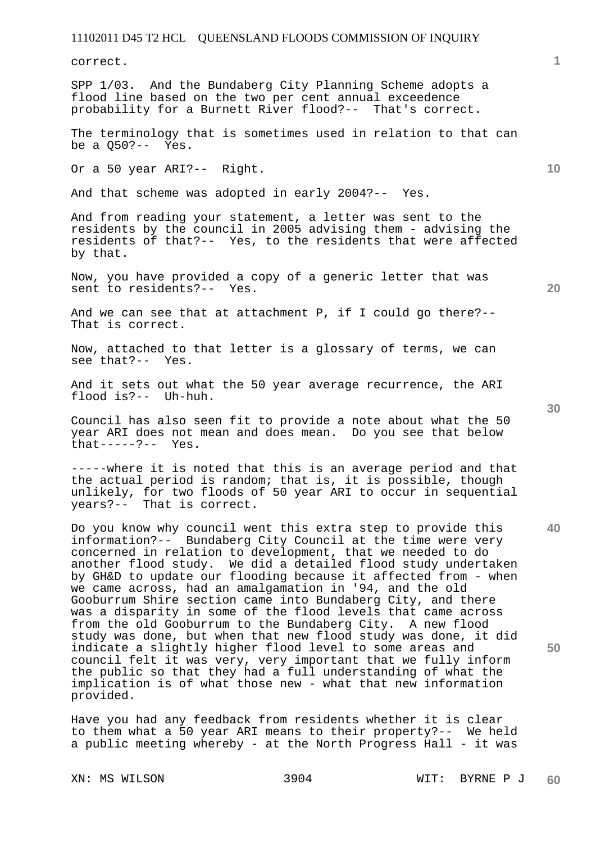correct.

SPP 1/03. And the Bundaberg City Planning Scheme adopts a flood line based on the two per cent annual exceedence probability for a Burnett River flood?-- That's correct.

The terminology that is sometimes used in relation to that can be a Q50?-- Yes.

Or a 50 year ARI?-- Right.

And that scheme was adopted in early 2004?-- Yes.

And from reading your statement, a letter was sent to the residents by the council in 2005 advising them - advising the residents of that?-- Yes, to the residents that were affected by that.

Now, you have provided a copy of a generic letter that was sent to residents?-- Yes.

And we can see that at attachment P, if I could go there?-- That is correct.

Now, attached to that letter is a glossary of terms, we can see that?-- Yes.

And it sets out what the 50 year average recurrence, the ARI flood is?-- Uh-huh.

Council has also seen fit to provide a note about what the 50 year ARI does not mean and does mean. Do you see that below  $that---?--$  Yes.

-----where it is noted that this is an average period and that the actual period is random; that is, it is possible, though unlikely, for two floods of 50 year ARI to occur in sequential years?-- That is correct.

Do you know why council went this extra step to provide this information?-- Bundaberg City Council at the time were very concerned in relation to development, that we needed to do another flood study. We did a detailed flood study undertaken by GH&D to update our flooding because it affected from - when we came across, had an amalgamation in '94, and the old Gooburrum Shire section came into Bundaberg City, and there was a disparity in some of the flood levels that came across from the old Gooburrum to the Bundaberg City. A new flood study was done, but when that new flood study was done, it did indicate a slightly higher flood level to some areas and council felt it was very, very important that we fully inform the public so that they had a full understanding of what the implication is of what those new - what that new information provided.

Have you had any feedback from residents whether it is clear to them what a 50 year ARI means to their property?-- We held a public meeting whereby - at the North Progress Hall - it was

**30** 

**20** 

**40** 

**50** 

**10**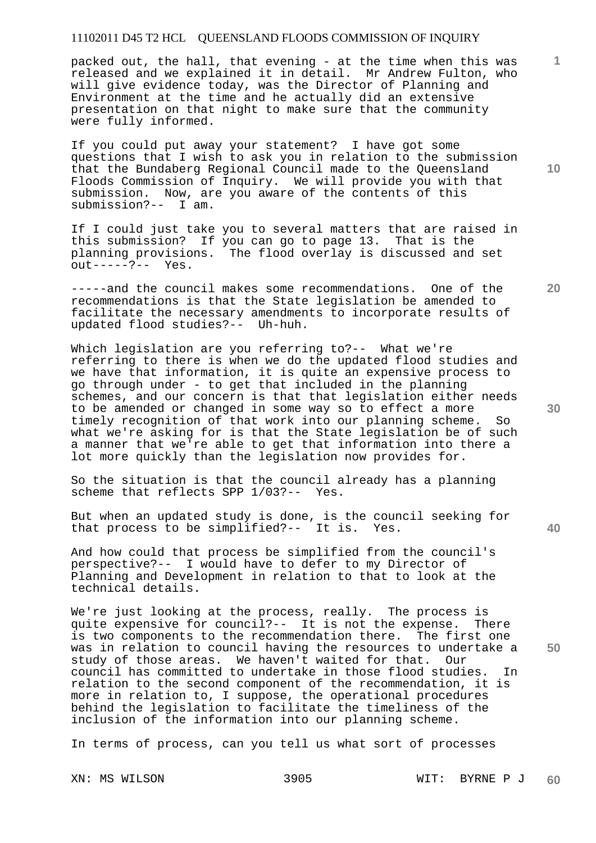packed out, the hall, that evening - at the time when this was released and we explained it in detail. Mr Andrew Fulton, who will give evidence today, was the Director of Planning and Environment at the time and he actually did an extensive presentation on that night to make sure that the community were fully informed.

If you could put away your statement? I have got some questions that I wish to ask you in relation to the submission that the Bundaberg Regional Council made to the Queensland Floods Commission of Inquiry. We will provide you with that submission. Now, are you aware of the contents of this submission?-- I am.

If I could just take you to several matters that are raised in this submission? If you can go to page 13. That is the planning provisions. The flood overlay is discussed and set out-----?-- Yes.

-----and the council makes some recommendations. One of the recommendations is that the State legislation be amended to facilitate the necessary amendments to incorporate results of updated flood studies?-- Uh-huh.

Which legislation are you referring to?-- What we're referring to there is when we do the updated flood studies and we have that information, it is quite an expensive process to go through under - to get that included in the planning schemes, and our concern is that that legislation either needs to be amended or changed in some way so to effect a more timely recognition of that work into our planning scheme. So what we're asking for is that the State legislation be of such a manner that we're able to get that information into there a lot more quickly than the legislation now provides for.

So the situation is that the council already has a planning scheme that reflects SPP  $1/03$ ?-- Yes. scheme that reflects SPP 1/03?--

But when an updated study is done, is the council seeking for that process to be simplified?-- It is. Yes.

And how could that process be simplified from the council's perspective?-- I would have to defer to my Director of Planning and Development in relation to that to look at the technical details.

We're just looking at the process, really. The process is quite expensive for council?-- It is not the expense. There is two components to the recommendation there. The first one was in relation to council having the resources to undertake a study of those areas. We haven't waited for that. Our council has committed to undertake in those flood studies. In relation to the second component of the recommendation, it is more in relation to, I suppose, the operational procedures behind the legislation to facilitate the timeliness of the inclusion of the information into our planning scheme.

In terms of process, can you tell us what sort of processes

**10** 

**1**

**30** 

**20**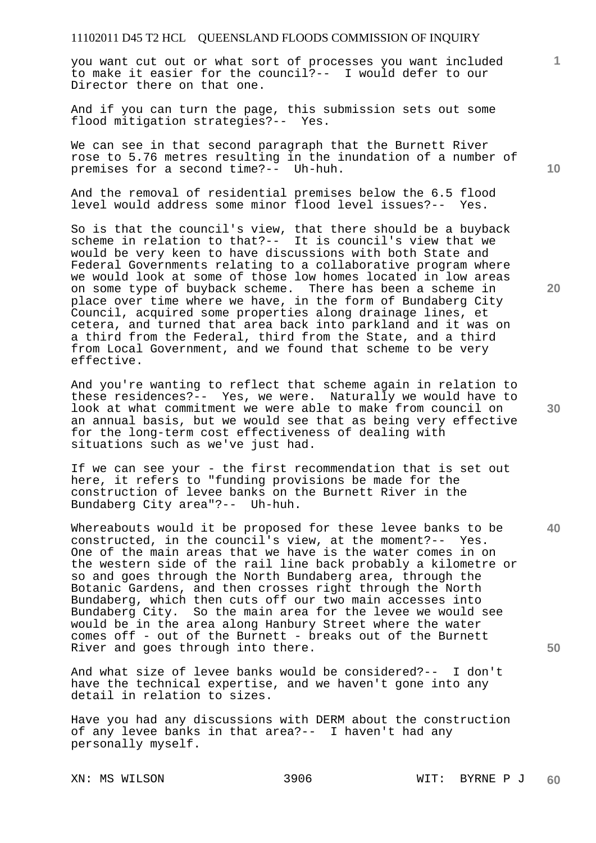you want cut out or what sort of processes you want included to make it easier for the council?-- I would defer to our Director there on that one.

And if you can turn the page, this submission sets out some flood mitigation strategies?-- Yes.

We can see in that second paragraph that the Burnett River rose to 5.76 metres resulting in the inundation of a number of premises for a second time?-- Uh-huh.

And the removal of residential premises below the 6.5 flood level would address some minor flood level issues?-- Yes.

So is that the council's view, that there should be a buyback scheme in relation to that?-- It is council's view that we would be very keen to have discussions with both State and Federal Governments relating to a collaborative program where we would look at some of those low homes located in low areas on some type of buyback scheme. There has been a scheme in place over time where we have, in the form of Bundaberg City Council, acquired some properties along drainage lines, et cetera, and turned that area back into parkland and it was on a third from the Federal, third from the State, and a third from Local Government, and we found that scheme to be very effective.

And you're wanting to reflect that scheme again in relation to these residences?-- Yes, we were. Naturally we would have to look at what commitment we were able to make from council on an annual basis, but we would see that as being very effective for the long-term cost effectiveness of dealing with situations such as we've just had.

If we can see your - the first recommendation that is set out here, it refers to "funding provisions be made for the construction of levee banks on the Burnett River in the Bundaberg City area"?-- Uh-huh.

Whereabouts would it be proposed for these levee banks to be constructed, in the council's view, at the moment?-- Yes. One of the main areas that we have is the water comes in on the western side of the rail line back probably a kilometre or so and goes through the North Bundaberg area, through the Botanic Gardens, and then crosses right through the North Bundaberg, which then cuts off our two main accesses into Bundaberg City. So the main area for the levee we would see would be in the area along Hanbury Street where the water comes off - out of the Burnett - breaks out of the Burnett River and goes through into there.

And what size of levee banks would be considered?-- I don't have the technical expertise, and we haven't gone into any detail in relation to sizes.

Have you had any discussions with DERM about the construction of any levee banks in that area?-- I haven't had any personally myself.

**10** 

**1**

**20** 

**40**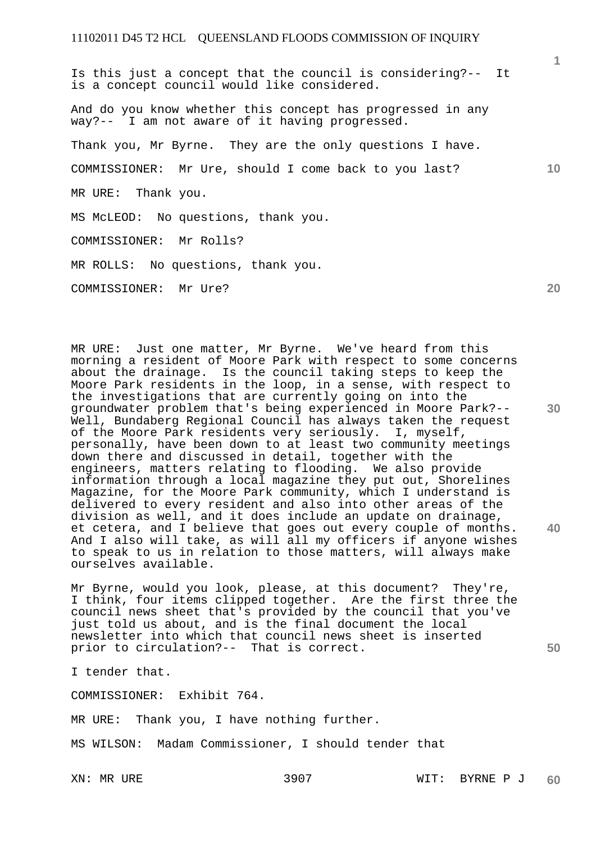Is this just a concept that the council is considering?-- It is a concept council would like considered. And do you know whether this concept has progressed in any way?-- I am not aware of it having progressed. Thank you, Mr Byrne. They are the only questions I have. COMMISSIONER: Mr Ure, should I come back to you last? MR URE: Thank you. MS McLEOD: No questions, thank you. COMMISSIONER: Mr Rolls? MR ROLLS: No questions, thank you. COMMISSIONER: Mr Ure?

**30**  MR URE: Just one matter, Mr Byrne. We've heard from this morning a resident of Moore Park with respect to some concerns about the drainage. Is the council taking steps to keep the Moore Park residents in the loop, in a sense, with respect to the investigations that are currently going on into the groundwater problem that's being experienced in Moore Park?-- Well, Bundaberg Regional Council has always taken the request of the Moore Park residents very seriously. I, myself, personally, have been down to at least two community meetings down there and discussed in detail, together with the engineers, matters relating to flooding. We also provide information through a local magazine they put out, Shorelines Magazine, for the Moore Park community, which I understand is delivered to every resident and also into other areas of the division as well, and it does include an update on drainage, et cetera, and I believe that goes out every couple of months. And I also will take, as will all my officers if anyone wishes to speak to us in relation to those matters, will always make ourselves available.

Mr Byrne, would you look, please, at this document? They're, I think, four items clipped together. Are the first three the council news sheet that's provided by the council that you've just told us about, and is the final document the local newsletter into which that council news sheet is inserted prior to circulation?-- That is correct.

I tender that.

COMMISSIONER: Exhibit 764.

MR URE: Thank you, I have nothing further.

MS WILSON: Madam Commissioner, I should tender that

**20** 

**10** 

**1**

**40**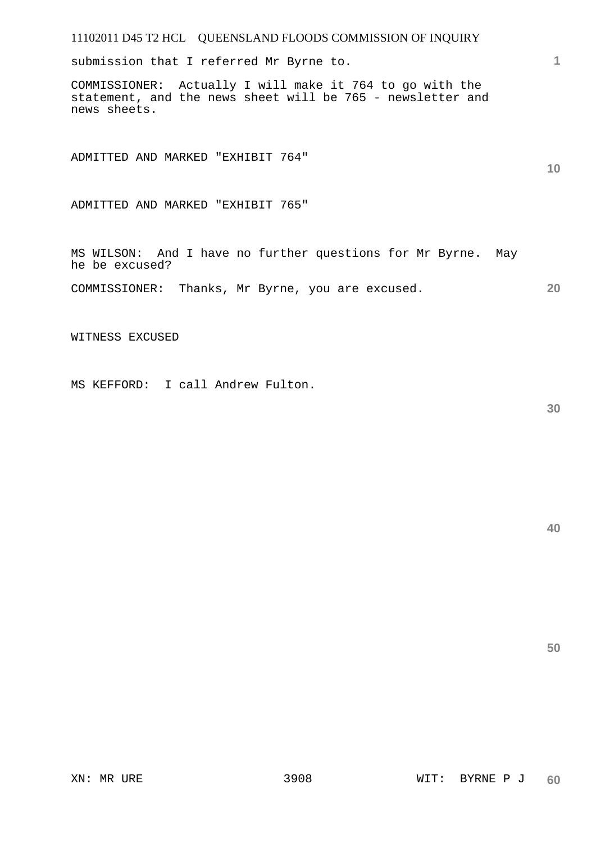submission that I referred Mr Byrne to.

COMMISSIONER: Actually I will make it 764 to go with the statement, and the news sheet will be 765 - newsletter and news sheets.

ADMITTED AND MARKED "EXHIBIT 764"

ADMITTED AND MARKED "EXHIBIT 765"

MS WILSON: And I have no further questions for Mr Byrne. May he be excused?

**20**  COMMISSIONER: Thanks, Mr Byrne, you are excused.

WITNESS EXCUSED

MS KEFFORD: I call Andrew Fulton.

**30** 

**1**

**10**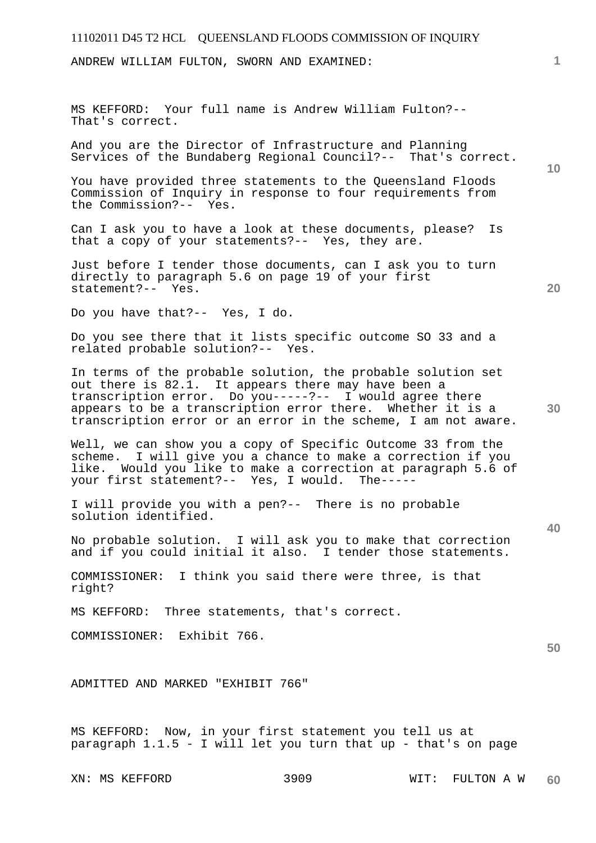ANDREW WILLIAM FULTON, SWORN AND EXAMINED:

MS KEFFORD: Your full name is Andrew William Fulton?-- That's correct.

And you are the Director of Infrastructure and Planning Services of the Bundaberg Regional Council?-- That's correct.

You have provided three statements to the Queensland Floods Commission of Inquiry in response to four requirements from the Commission?-- Yes.

Can I ask you to have a look at these documents, please? Is that a copy of your statements?-- Yes, they are.

Just before I tender those documents, can I ask you to turn directly to paragraph 5.6 on page 19 of your first statement?-- Yes.

Do you have that?-- Yes, I do.

Do you see there that it lists specific outcome SO 33 and a related probable solution?-- Yes.

In terms of the probable solution, the probable solution set out there is 82.1. It appears there may have been a transcription error. Do you-----?-- I would agree there appears to be a transcription error there. Whether it is a transcription error or an error in the scheme, I am not aware.

Well, we can show you a copy of Specific Outcome 33 from the scheme. I will give you a chance to make a correction if you like. Would you like to make a correction at paragraph 5.6 of your first statement?-- Yes, I would. The-----

I will provide you with a pen?-- There is no probable solution identified.

No probable solution. I will ask you to make that correction and if you could initial it also. I tender those statements.

COMMISSIONER: I think you said there were three, is that right?

MS KEFFORD: Three statements, that's correct.

COMMISSIONER: Exhibit 766.

ADMITTED AND MARKED "EXHIBIT 766"

MS KEFFORD: Now, in your first statement you tell us at paragraph  $1.1.5$  - I will let you turn that up - that's on page

**40** 

**20** 

**10** 

**1**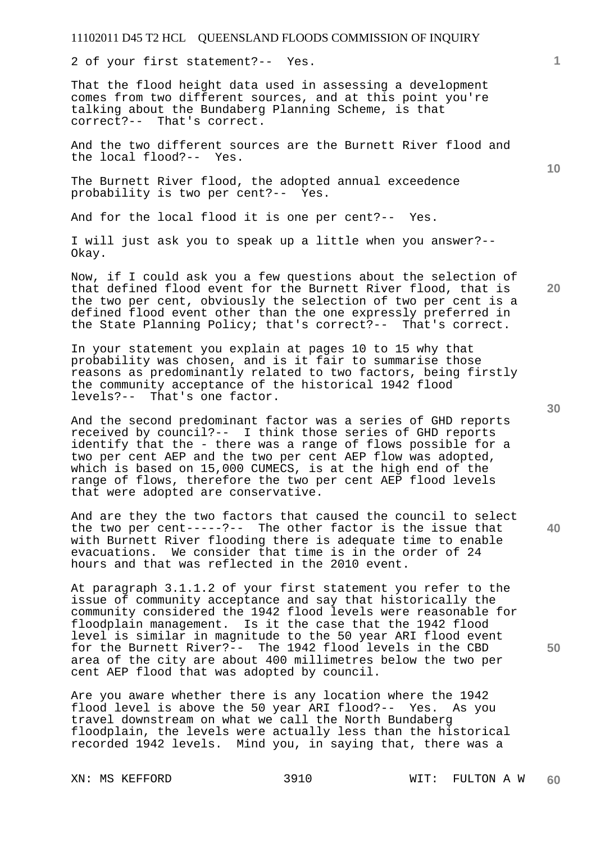2 of your first statement?-- Yes.

That the flood height data used in assessing a development comes from two different sources, and at this point you're talking about the Bundaberg Planning Scheme, is that correct?-- That's correct.

And the two different sources are the Burnett River flood and the local flood?-- Yes.

The Burnett River flood, the adopted annual exceedence probability is two per cent?-- Yes.

And for the local flood it is one per cent?-- Yes.

I will just ask you to speak up a little when you answer?-- Okay.

Now, if I could ask you a few questions about the selection of that defined flood event for the Burnett River flood, that is the two per cent, obviously the selection of two per cent is a defined flood event other than the one expressly preferred in the State Planning Policy; that's correct?-- That's correct.

In your statement you explain at pages 10 to 15 why that probability was chosen, and is it fair to summarise those reasons as predominantly related to two factors, being firstly the community acceptance of the historical 1942 flood levels?-- That's one factor.

And the second predominant factor was a series of GHD reports received by council?-- I think those series of GHD reports identify that the - there was a range of flows possible for a two per cent AEP and the two per cent AEP flow was adopted, which is based on 15,000 CUMECS, is at the high end of the range of flows, therefore the two per cent AEP flood levels that were adopted are conservative.

And are they the two factors that caused the council to select the two per cent-----?-- The other factor is the issue that with Burnett River flooding there is adequate time to enable evacuations. We consider that time is in the order of 24 hours and that was reflected in the 2010 event.

At paragraph 3.1.1.2 of your first statement you refer to the issue of community acceptance and say that historically the community considered the 1942 flood levels were reasonable for floodplain management. Is it the case that the 1942 flood level is similar in magnitude to the 50 year ARI flood event for the Burnett River?-- The 1942 flood levels in the CBD area of the city are about 400 millimetres below the two per cent AEP flood that was adopted by council.

Are you aware whether there is any location where the 1942 flood level is above the 50 year ARI flood?-- Yes. As you travel downstream on what we call the North Bundaberg floodplain, the levels were actually less than the historical recorded 1942 levels. Mind you, in saying that, there was a

**1**

**30** 

**40** 

**50**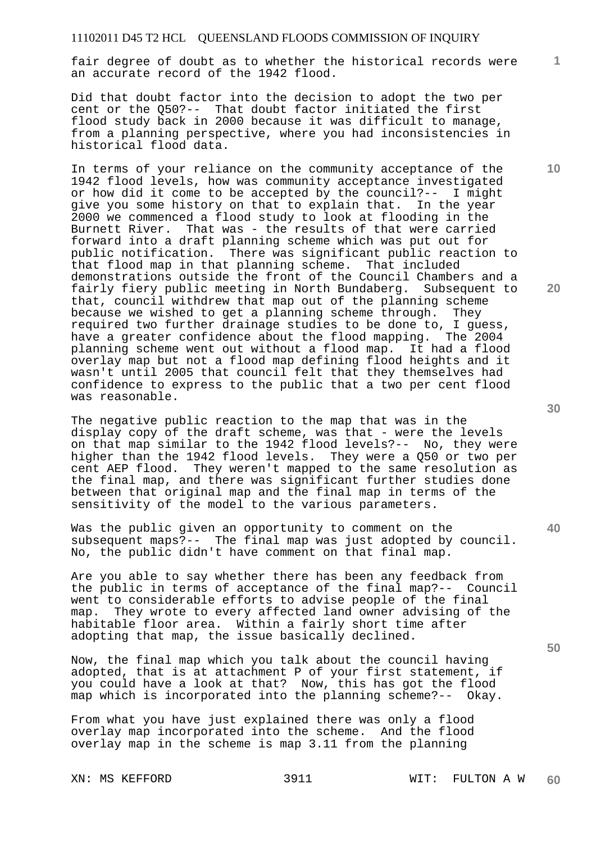fair degree of doubt as to whether the historical records were an accurate record of the 1942 flood.

Did that doubt factor into the decision to adopt the two per cent or the Q50?-- That doubt factor initiated the first flood study back in 2000 because it was difficult to manage, from a planning perspective, where you had inconsistencies in historical flood data.

In terms of your reliance on the community acceptance of the 1942 flood levels, how was community acceptance investigated or how did it come to be accepted by the council?-- I might give you some history on that to explain that. In the year 2000 we commenced a flood study to look at flooding in the Burnett River. That was - the results of that were carried forward into a draft planning scheme which was put out for public notification. There was significant public reaction to that flood map in that planning scheme. That included demonstrations outside the front of the Council Chambers and a fairly fiery public meeting in North Bundaberg. Subsequent to that, council withdrew that map out of the planning scheme because we wished to get a planning scheme through. They required two further drainage studies to be done to, I guess, have a greater confidence about the flood mapping. The 2004 planning scheme went out without a flood map. It had a flood overlay map but not a flood map defining flood heights and it wasn't until 2005 that council felt that they themselves had confidence to express to the public that a two per cent flood was reasonable.

The negative public reaction to the map that was in the display copy of the draft scheme, was that - were the levels on that map similar to the 1942 flood levels?-- No, they were higher than the 1942 flood levels. They were a Q50 or two per cent AEP flood. They weren't mapped to the same resolution as the final map, and there was significant further studies done between that original map and the final map in terms of the sensitivity of the model to the various parameters.

Was the public given an opportunity to comment on the subsequent maps?-- The final map was just adopted by council. No, the public didn't have comment on that final map.

Are you able to say whether there has been any feedback from the public in terms of acceptance of the final map?-- Council went to considerable efforts to advise people of the final map. They wrote to every affected land owner advising of the habitable floor area. Within a fairly short time after adopting that map, the issue basically declined.

Now, the final map which you talk about the council having adopted, that is at attachment P of your first statement, if you could have a look at that? Now, this has got the flood map which is incorporated into the planning scheme?-- Okay.

From what you have just explained there was only a flood overlay map incorporated into the scheme. And the flood overlay map in the scheme is map 3.11 from the planning

**30** 

**40** 

**50** 

**20** 

**10**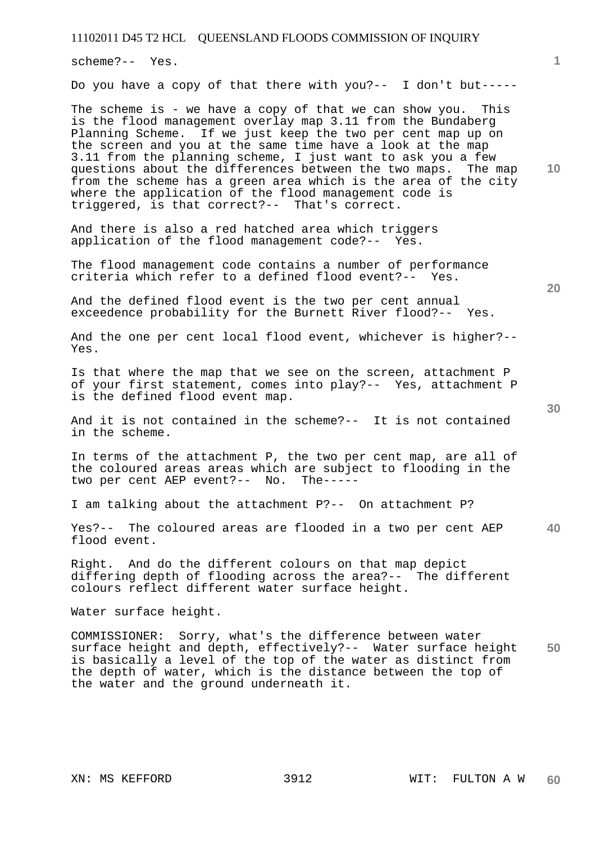scheme?-- Yes.

Do you have a copy of that there with you?-- I don't but-----

The scheme is - we have a copy of that we can show you. This is the flood management overlay map 3.11 from the Bundaberg Planning Scheme. If we just keep the two per cent map up on the screen and you at the same time have a look at the map 3.11 from the planning scheme, I just want to ask you a few questions about the differences between the two maps. The map from the scheme has a green area which is the area of the city where the application of the flood management code is triggered, is that correct?-- That's correct.

And there is also a red hatched area which triggers application of the flood management code?-- Yes.

The flood management code contains a number of performance criteria which refer to a defined flood event?-- Yes.

And the defined flood event is the two per cent annual exceedence probability for the Burnett River flood?-- Yes.

And the one per cent local flood event, whichever is higher?-- Yes.

Is that where the map that we see on the screen, attachment P of your first statement, comes into play?-- Yes, attachment P is the defined flood event map.

And it is not contained in the scheme?-- It is not contained in the scheme.

In terms of the attachment P, the two per cent map, are all of the coloured areas areas which are subject to flooding in the two per cent AEP event?-- No. The-----

I am talking about the attachment P?-- On attachment P?

**40**  Yes?-- The coloured areas are flooded in a two per cent AEP flood event.

Right. And do the different colours on that map depict differing depth of flooding across the area?-- The different colours reflect different water surface height.

Water surface height.

**50**  COMMISSIONER: Sorry, what's the difference between water surface height and depth, effectively?-- Water surface height is basically a level of the top of the water as distinct from the depth of water, which is the distance between the top of the water and the ground underneath it.

**10** 

**1**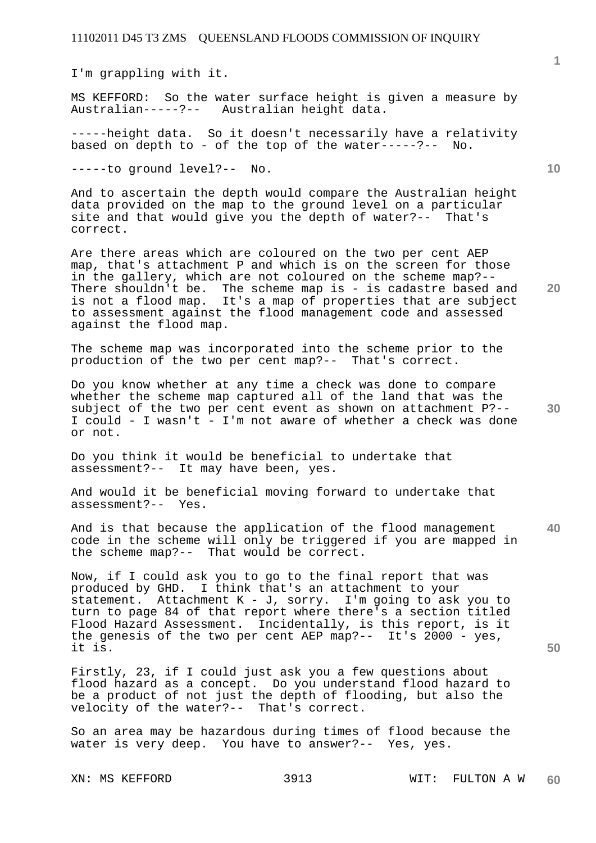I'm grappling with it.

MS KEFFORD: So the water surface height is given a measure by<br>Australian-----?-- Australian height data. Australian height data.

-----height data. So it doesn't necessarily have a relativity<br>based on depth to - of the top of the water-----?-- No. based on depth to - of the top of the water-----?--

-----to ground level?-- No.

And to ascertain the depth would compare the Australian height data provided on the map to the ground level on a particular site and that would give you the depth of water?-- That's correct.

**20**  Are there areas which are coloured on the two per cent AEP map, that's attachment P and which is on the screen for those in the gallery, which are not coloured on the scheme map?-- There shouldn't be. The scheme map is - is cadastre based and is not a flood map. It's a map of properties that are subject to assessment against the flood management code and assessed against the flood map.

The scheme map was incorporated into the scheme prior to the production of the two per cent map?-- That's correct.

**30**  Do you know whether at any time a check was done to compare whether the scheme map captured all of the land that was the subject of the two per cent event as shown on attachment P?-- I could - I wasn't - I'm not aware of whether a check was done or not.

Do you think it would be beneficial to undertake that assessment?-- It may have been, yes.

And would it be beneficial moving forward to undertake that assessment?-- Yes.

**40**  And is that because the application of the flood management code in the scheme will only be triggered if you are mapped in the scheme map?-- That would be correct.

Now, if I could ask you to go to the final report that was produced by GHD. I think that's an attachment to your statement. Attachment K - J, sorry. I'm going to ask you to turn to page 84 of that report where there's a section titled Flood Hazard Assessment. Incidentally, is this report, is it the genesis of the two per cent AEP map?-- It's 2000 - yes, it is.

Firstly, 23, if I could just ask you a few questions about flood hazard as a concept. Do you understand flood hazard to be a product of not just the depth of flooding, but also the velocity of the water?-- That's correct.

So an area may be hazardous during times of flood because the water is very deep. You have to answer?-- Yes, yes.

**1**

**10**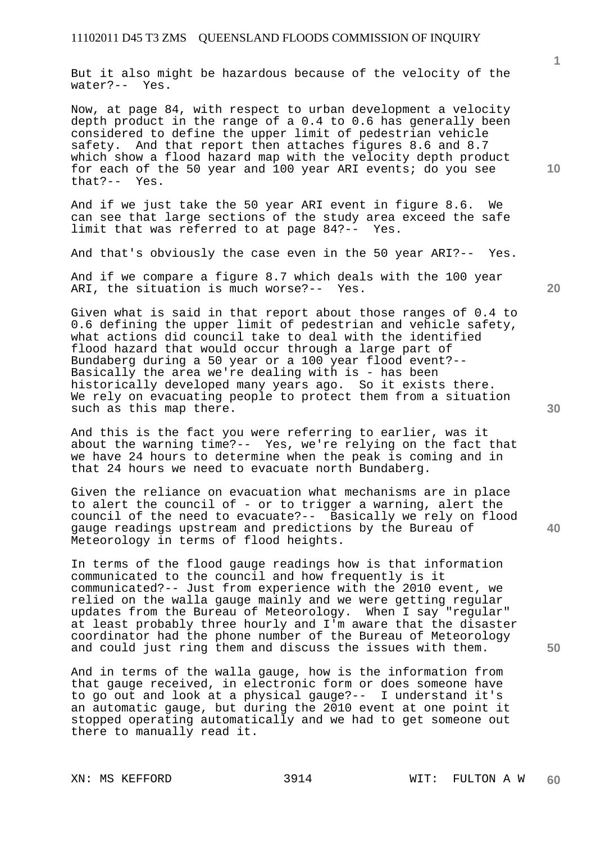But it also might be hazardous because of the velocity of the water?-- Yes.

Now, at page 84, with respect to urban development a velocity depth product in the range of a 0.4 to 0.6 has generally been considered to define the upper limit of pedestrian vehicle safety. And that report then attaches figures 8.6 and 8.7 which show a flood hazard map with the velocity depth product for each of the 50 year and 100 year ARI events; do you see that?-- Yes.

And if we just take the 50 year ARI event in figure 8.6. We can see that large sections of the study area exceed the safe limit that was referred to at page 84?-- Yes.

And that's obviously the case even in the 50 year ARI?-- Yes.

And if we compare a figure 8.7 which deals with the 100 year ARI, the situation is much worse?-- Yes.

Given what is said in that report about those ranges of 0.4 to 0.6 defining the upper limit of pedestrian and vehicle safety, what actions did council take to deal with the identified flood hazard that would occur through a large part of Bundaberg during a 50 year or a 100 year flood event?-- Basically the area we're dealing with is - has been historically developed many years ago. So it exists there. We rely on evacuating people to protect them from a situation such as this map there.

And this is the fact you were referring to earlier, was it about the warning time?-- Yes, we're relying on the fact that we have 24 hours to determine when the peak is coming and in that 24 hours we need to evacuate north Bundaberg.

Given the reliance on evacuation what mechanisms are in place to alert the council of - or to trigger a warning, alert the council of the need to evacuate?-- Basically we rely on flood gauge readings upstream and predictions by the Bureau of Meteorology in terms of flood heights.

In terms of the flood gauge readings how is that information communicated to the council and how frequently is it communicated?-- Just from experience with the 2010 event, we relied on the walla gauge mainly and we were getting regular updates from the Bureau of Meteorology. When I say "regular" at least probably three hourly and I'm aware that the disaster coordinator had the phone number of the Bureau of Meteorology and could just ring them and discuss the issues with them.

And in terms of the walla gauge, how is the information from that gauge received, in electronic form or does someone have to go out and look at a physical gauge?-- I understand it's an automatic gauge, but during the 2010 event at one point it stopped operating automatically and we had to get someone out there to manually read it.

**1**

**20** 

**30** 

**40**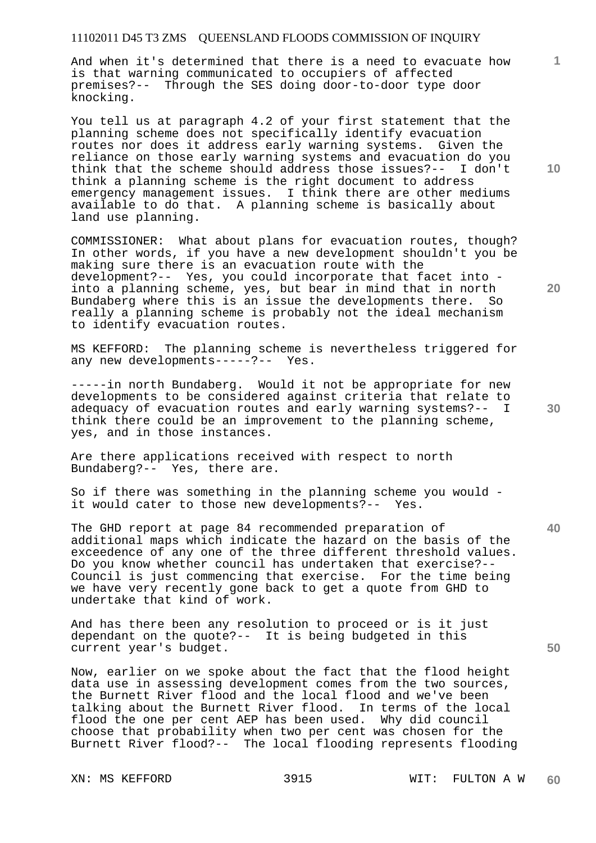And when it's determined that there is a need to evacuate how is that warning communicated to occupiers of affected premises?-- Through the SES doing door-to-door type door knocking.

You tell us at paragraph 4.2 of your first statement that the planning scheme does not specifically identify evacuation routes nor does it address early warning systems. Given the reliance on those early warning systems and evacuation do you think that the scheme should address those issues?-- I don't think a planning scheme is the right document to address emergency management issues. I think there are other mediums available to do that. A planning scheme is basically about land use planning.

COMMISSIONER: What about plans for evacuation routes, though? In other words, if you have a new development shouldn't you be making sure there is an evacuation route with the development?-- Yes, you could incorporate that facet into into a planning scheme, yes, but bear in mind that in north Bundaberg where this is an issue the developments there. So really a planning scheme is probably not the ideal mechanism to identify evacuation routes.

MS KEFFORD: The planning scheme is nevertheless triggered for any new developments-----?-- Yes.

-----in north Bundaberg. Would it not be appropriate for new developments to be considered against criteria that relate to adequacy of evacuation routes and early warning systems?-- I think there could be an improvement to the planning scheme, yes, and in those instances.

Are there applications received with respect to north Bundaberg?-- Yes, there are.

So if there was something in the planning scheme you would it would cater to those new developments?-- Yes.

The GHD report at page 84 recommended preparation of additional maps which indicate the hazard on the basis of the exceedence of any one of the three different threshold values. Do you know whether council has undertaken that exercise?-- Council is just commencing that exercise. For the time being we have very recently gone back to get a quote from GHD to undertake that kind of work.

And has there been any resolution to proceed or is it just dependant on the quote?-- It is being budgeted in this current year's budget.

Now, earlier on we spoke about the fact that the flood height data use in assessing development comes from the two sources, the Burnett River flood and the local flood and we've been talking about the Burnett River flood. In terms of the local flood the one per cent AEP has been used. Why did council choose that probability when two per cent was chosen for the Burnett River flood?-- The local flooding represents flooding

**10** 

**1**

**20** 

**30** 

**40**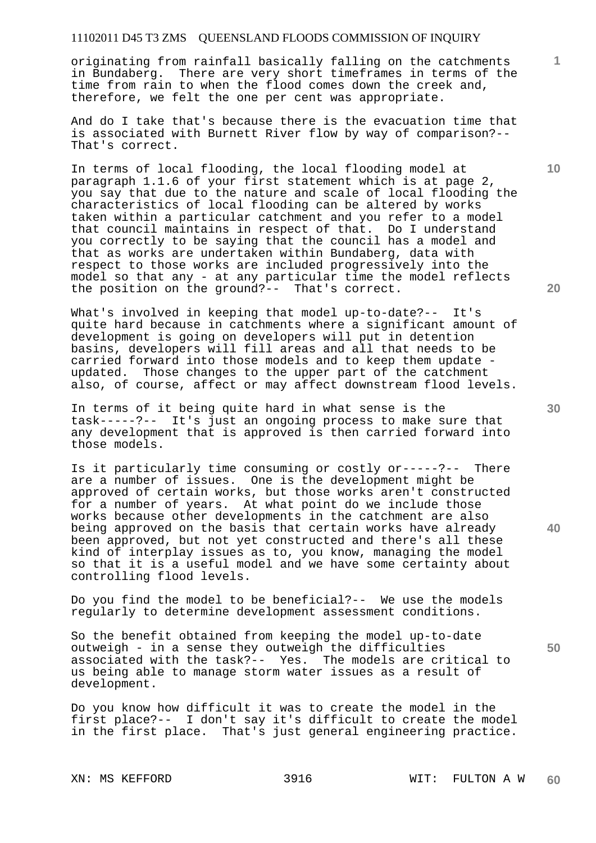originating from rainfall basically falling on the catchments in Bundaberg. There are very short timeframes in terms of the time from rain to when the flood comes down the creek and, therefore, we felt the one per cent was appropriate.

And do I take that's because there is the evacuation time that is associated with Burnett River flow by way of comparison?-- That's correct.

In terms of local flooding, the local flooding model at paragraph 1.1.6 of your first statement which is at page 2, you say that due to the nature and scale of local flooding the characteristics of local flooding can be altered by works taken within a particular catchment and you refer to a model that council maintains in respect of that. Do I understand you correctly to be saying that the council has a model and that as works are undertaken within Bundaberg, data with respect to those works are included progressively into the model so that any - at any particular time the model reflects the position on the ground?-- That's correct.

What's involved in keeping that model up-to-date?-- It's quite hard because in catchments where a significant amount of development is going on developers will put in detention basins, developers will fill areas and all that needs to be carried forward into those models and to keep them update updated. Those changes to the upper part of the catchment also, of course, affect or may affect downstream flood levels.

In terms of it being quite hard in what sense is the task-----?-- It's just an ongoing process to make sure that any development that is approved is then carried forward into those models.

Is it particularly time consuming or costly or-----?-- There are a number of issues. One is the development might be approved of certain works, but those works aren't constructed for a number of years. At what point do we include those works because other developments in the catchment are also being approved on the basis that certain works have already been approved, but not yet constructed and there's all these kind of interplay issues as to, you know, managing the model so that it is a useful model and we have some certainty about controlling flood levels.

Do you find the model to be beneficial?-- We use the models regularly to determine development assessment conditions.

So the benefit obtained from keeping the model up-to-date outweigh - in a sense they outweigh the difficulties associated with the task?-- Yes. The models are critical to us being able to manage storm water issues as a result of development.

Do you know how difficult it was to create the model in the first place?-- I don't say it's difficult to create the model in the first place. That's just general engineering practice.

**30** 

**20** 

**50** 

**10**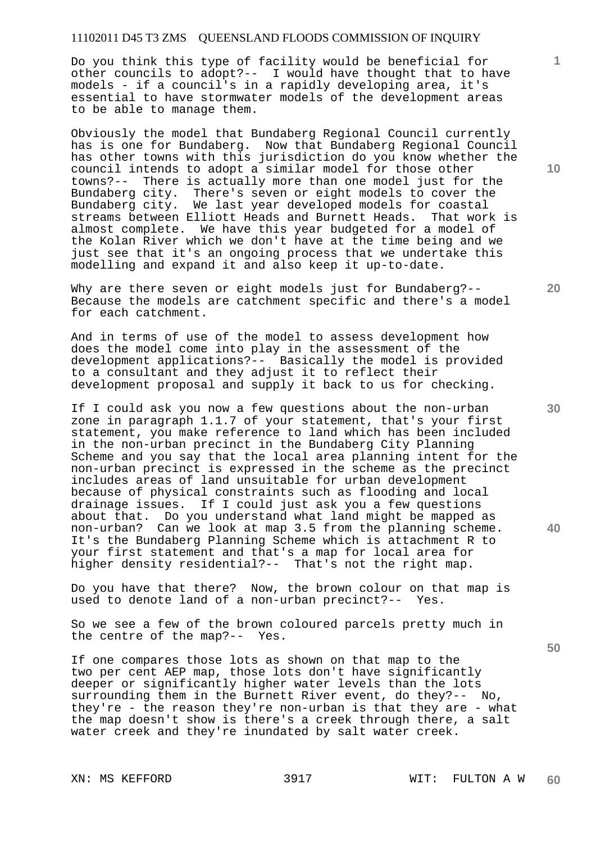Do you think this type of facility would be beneficial for other councils to adopt?-- I would have thought that to have models - if a council's in a rapidly developing area, it's essential to have stormwater models of the development areas to be able to manage them.

Obviously the model that Bundaberg Regional Council currently has is one for Bundaberg. Now that Bundaberg Regional Council has other towns with this jurisdiction do you know whether the council intends to adopt a similar model for those other towns?-- There is actually more than one model just for the Bundaberg city. There's seven or eight models to cover the Bundaberg city. We last year developed models for coastal streams between Elliott Heads and Burnett Heads. That work is streams between Elliott Heads and Burnett Heads. almost complete. We have this year budgeted for a model of the Kolan River which we don't have at the time being and we just see that it's an ongoing process that we undertake this modelling and expand it and also keep it up-to-date.

Why are there seven or eight models just for Bundaberg?-- Because the models are catchment specific and there's a model for each catchment.

And in terms of use of the model to assess development how does the model come into play in the assessment of the development applications?-- Basically the model is provided to a consultant and they adjust it to reflect their development proposal and supply it back to us for checking.

If I could ask you now a few questions about the non-urban zone in paragraph 1.1.7 of your statement, that's your first statement, you make reference to land which has been included in the non-urban precinct in the Bundaberg City Planning Scheme and you say that the local area planning intent for the non-urban precinct is expressed in the scheme as the precinct includes areas of land unsuitable for urban development because of physical constraints such as flooding and local drainage issues. If I could just ask you a few questions about that. Do you understand what land might be mapped as non-urban? Can we look at map 3.5 from the planning scheme. It's the Bundaberg Planning Scheme which is attachment R to your first statement and that's a map for local area for higher density residential?-- That's not the right map.

Do you have that there? Now, the brown colour on that map is used to denote land of a non-urban precinct?-- Yes.

So we see a few of the brown coloured parcels pretty much in the centre of the map?-- Yes.

If one compares those lots as shown on that map to the two per cent AEP map, those lots don't have significantly deeper or significantly higher water levels than the lots surrounding them in the Burnett River event, do they?-- No, they're - the reason they're non-urban is that they are - what the map doesn't show is there's a creek through there, a salt water creek and they're inundated by salt water creek.

**10** 

**1**

**20** 

**30** 

**40**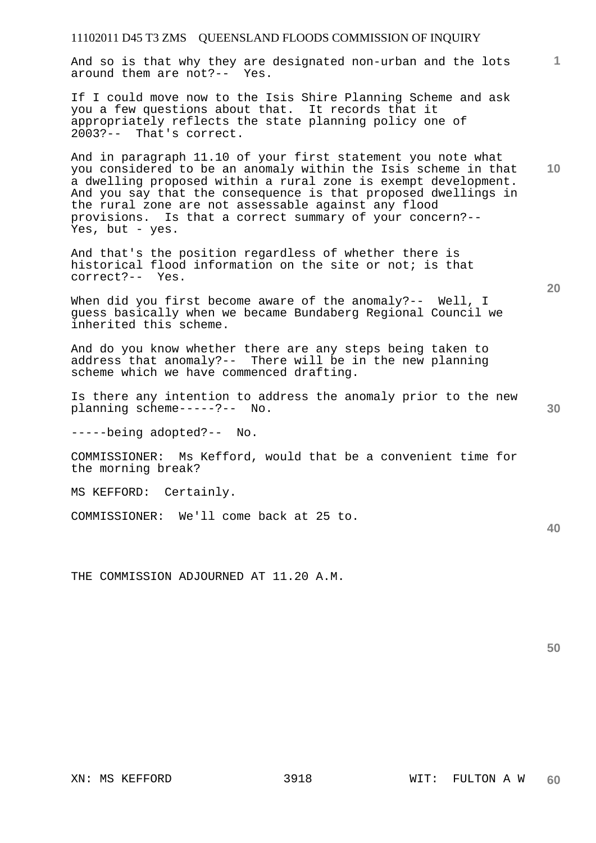And so is that why they are designated non-urban and the lots around them are not?-- Yes.

If I could move now to the Isis Shire Planning Scheme and ask you a few questions about that. It records that it appropriately reflects the state planning policy one of 2003?-- That's correct.

And in paragraph 11.10 of your first statement you note what you considered to be an anomaly within the Isis scheme in that a dwelling proposed within a rural zone is exempt development. And you say that the consequence is that proposed dwellings in the rural zone are not assessable against any flood provisions. Is that a correct summary of your concern?-- Yes, but - yes.

And that's the position regardless of whether there is historical flood information on the site or not; is that correct?-- Yes.

When did you first become aware of the anomaly?-- Well, I guess basically when we became Bundaberg Regional Council we inherited this scheme.

And do you know whether there are any steps being taken to address that anomaly?-- There will be in the new planning scheme which we have commenced drafting.

Is there any intention to address the anomaly prior to the new planning scheme-----?-- No.

-----being adopted?-- No.

COMMISSIONER: Ms Kefford, would that be a convenient time for the morning break?

MS KEFFORD: Certainly.

COMMISSIONER: We'll come back at 25 to.

THE COMMISSION ADJOURNED AT 11.20 A.M.

**50** 

**20** 

**10** 

**1**

**30**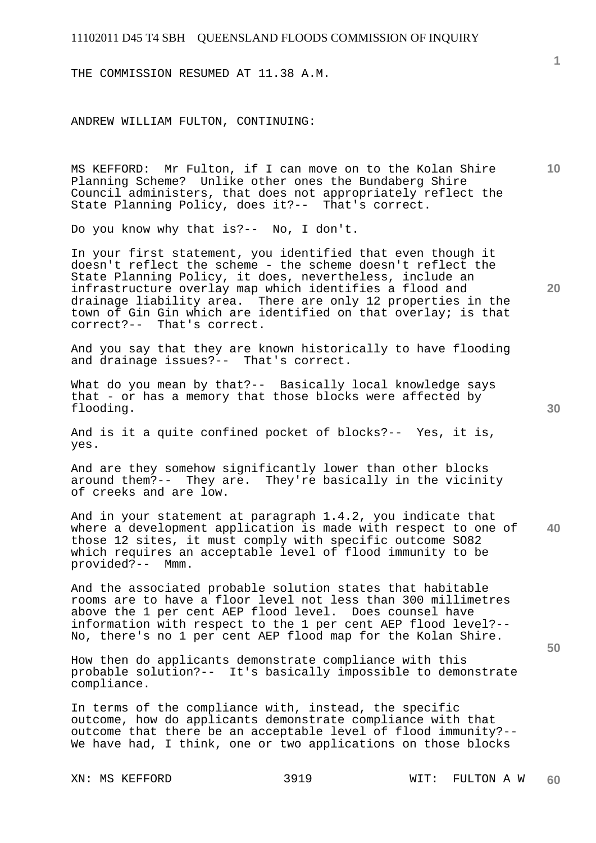THE COMMISSION RESUMED AT 11.38 A.M.

ANDREW WILLIAM FULTON, CONTINUING:

MS KEFFORD: Mr Fulton, if I can move on to the Kolan Shire Planning Scheme? Unlike other ones the Bundaberg Shire Council administers, that does not appropriately reflect the State Planning Policy, does it?-- That's correct.

Do you know why that is?-- No, I don't.

In your first statement, you identified that even though it doesn't reflect the scheme - the scheme doesn't reflect the State Planning Policy, it does, nevertheless, include an infrastructure overlay map which identifies a flood and drainage liability area. There are only 12 properties in the town of Gin Gin which are identified on that overlay; is that correct?-- That's correct.

And you say that they are known historically to have flooding and drainage issues?-- That's correct.

What do you mean by that?-- Basically local knowledge says that - or has a memory that those blocks were affected by flooding.

And is it a quite confined pocket of blocks?-- Yes, it is, yes.

And are they somehow significantly lower than other blocks around them?-- They are. They're basically in the vicinity of creeks and are low.

**40**  And in your statement at paragraph 1.4.2, you indicate that where a development application is made with respect to one of those 12 sites, it must comply with specific outcome SO82 which requires an acceptable level of flood immunity to be provided?-- Mmm.

And the associated probable solution states that habitable rooms are to have a floor level not less than 300 millimetres above the 1 per cent AEP flood level. Does counsel have information with respect to the 1 per cent AEP flood level?-- No, there's no 1 per cent AEP flood map for the Kolan Shire.

How then do applicants demonstrate compliance with this probable solution?-- It's basically impossible to demonstrate compliance.

In terms of the compliance with, instead, the specific outcome, how do applicants demonstrate compliance with that outcome that there be an acceptable level of flood immunity?-- We have had, I think, one or two applications on those blocks

**1**

**10** 

**20**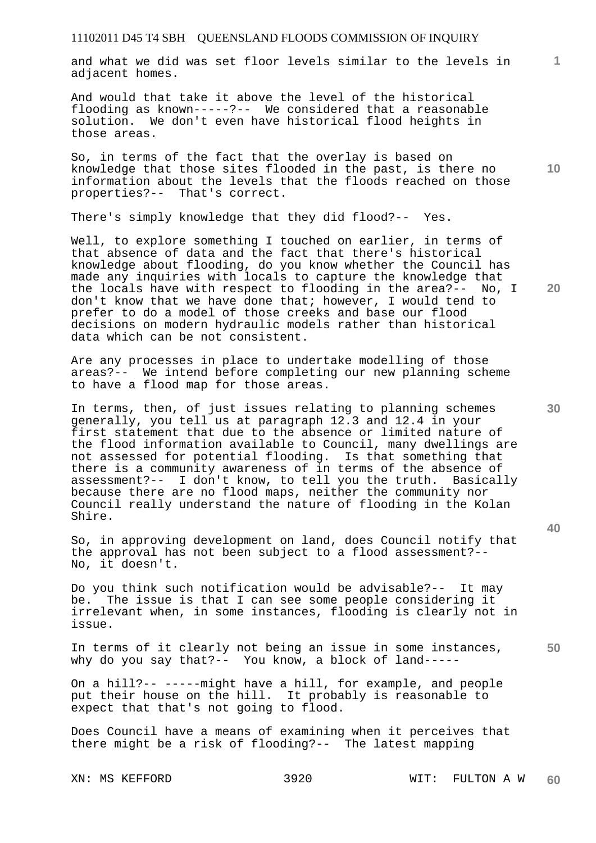and what we did was set floor levels similar to the levels in adjacent homes.

And would that take it above the level of the historical flooding as known-----?-- We considered that a reasonable solution. We don't even have historical flood heights in those areas.

So, in terms of the fact that the overlay is based on knowledge that those sites flooded in the past, is there no information about the levels that the floods reached on those properties?-- That's correct.

There's simply knowledge that they did flood?-- Yes.

Well, to explore something I touched on earlier, in terms of that absence of data and the fact that there's historical knowledge about flooding, do you know whether the Council has made any inquiries with locals to capture the knowledge that the locals have with respect to flooding in the area?-- No, I don't know that we have done that; however, I would tend to prefer to do a model of those creeks and base our flood decisions on modern hydraulic models rather than historical data which can be not consistent.

Are any processes in place to undertake modelling of those areas?-- We intend before completing our new planning scheme to have a flood map for those areas.

In terms, then, of just issues relating to planning schemes generally, you tell us at paragraph 12.3 and 12.4 in your first statement that due to the absence or limited nature of the flood information available to Council, many dwellings are not assessed for potential flooding. Is that something that there is a community awareness of in terms of the absence of assessment?-- I don't know, to tell you the truth. Basically because there are no flood maps, neither the community nor Council really understand the nature of flooding in the Kolan Shire.

So, in approving development on land, does Council notify that the approval has not been subject to a flood assessment?-- No, it doesn't.

Do you think such notification would be advisable?-- It may be. The issue is that I can see some people considering it irrelevant when, in some instances, flooding is clearly not in issue.

In terms of it clearly not being an issue in some instances, why do you say that?-- You know, a block of land-----

On a hill?-- -----might have a hill, for example, and people put their house on the hill. It probably is reasonable to expect that that's not going to flood.

Does Council have a means of examining when it perceives that there might be a risk of flooding?-- The latest mapping

**20** 

**10** 

**1**

**30** 

**40**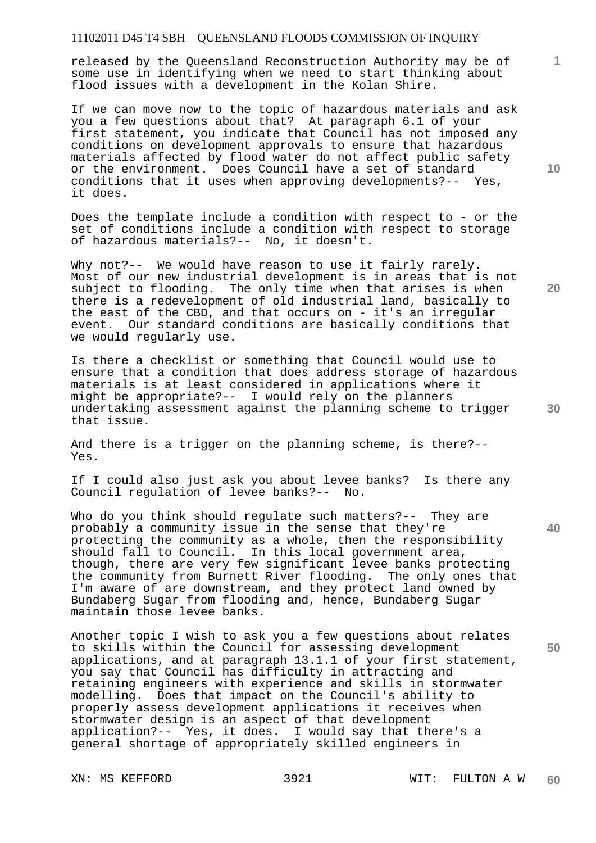released by the Queensland Reconstruction Authority may be of some use in identifying when we need to start thinking about flood issues with a development in the Kolan Shire.

If we can move now to the topic of hazardous materials and ask you a few questions about that? At paragraph 6.1 of your first statement, you indicate that Council has not imposed any conditions on development approvals to ensure that hazardous materials affected by flood water do not affect public safety or the environment. Does Council have a set of standard conditions that it uses when approving developments?-- Yes, it does.

Does the template include a condition with respect to - or the set of conditions include a condition with respect to storage of hazardous materials?-- No, it doesn't.

Why not?-- We would have reason to use it fairly rarely. Most of our new industrial development is in areas that is not subject to flooding. The only time when that arises is when there is a redevelopment of old industrial land, basically to the east of the CBD, and that occurs on - it's an irregular event. Our standard conditions are basically conditions that we would regularly use.

Is there a checklist or something that Council would use to ensure that a condition that does address storage of hazardous materials is at least considered in applications where it might be appropriate?-- I would rely on the planners undertaking assessment against the planning scheme to trigger that issue.

And there is a trigger on the planning scheme, is there?-- Yes.

If I could also just ask you about levee banks? Is there any Council regulation of levee banks?-- No.

Who do you think should regulate such matters?-- They are probably a community issue in the sense that they're protecting the community as a whole, then the responsibility should fall to Council. In this local government area, though, there are very few significant levee banks protecting the community from Burnett River flooding. The only ones that I'm aware of are downstream, and they protect land owned by Bundaberg Sugar from flooding and, hence, Bundaberg Sugar maintain those levee banks.

Another topic I wish to ask you a few questions about relates to skills within the Council for assessing development applications, and at paragraph 13.1.1 of your first statement, you say that Council has difficulty in attracting and retaining engineers with experience and skills in stormwater modelling. Does that impact on the Council's ability to properly assess development applications it receives when stormwater design is an aspect of that development application?-- Yes, it does. I would say that there's a general shortage of appropriately skilled engineers in

**10** 

**1**

**20** 

**40** 

**50**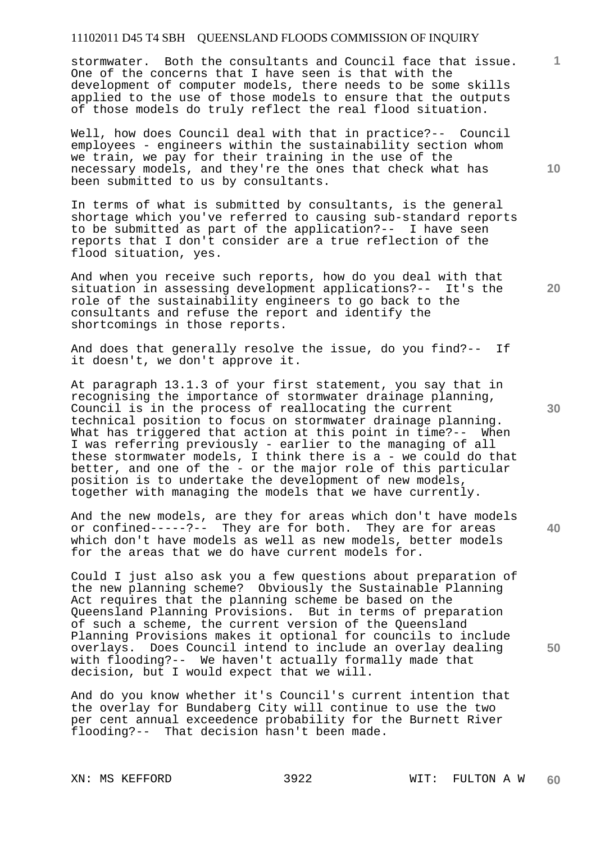stormwater. Both the consultants and Council face that issue. One of the concerns that I have seen is that with the development of computer models, there needs to be some skills applied to the use of those models to ensure that the outputs of those models do truly reflect the real flood situation.

Well, how does Council deal with that in practice?-- Council employees - engineers within the sustainability section whom we train, we pay for their training in the use of the necessary models, and they're the ones that check what has been submitted to us by consultants.

In terms of what is submitted by consultants, is the general shortage which you've referred to causing sub-standard reports to be submitted as part of the application?-- I have seen reports that I don't consider are a true reflection of the flood situation, yes.

And when you receive such reports, how do you deal with that situation in assessing development applications?-- It's the role of the sustainability engineers to go back to the consultants and refuse the report and identify the shortcomings in those reports.

And does that generally resolve the issue, do you find?-- If it doesn't, we don't approve it.

At paragraph 13.1.3 of your first statement, you say that in recognising the importance of stormwater drainage planning, Council is in the process of reallocating the current technical position to focus on stormwater drainage planning. What has triggered that action at this point in time?-- When I was referring previously - earlier to the managing of all these stormwater models, I think there is a - we could do that better, and one of the - or the major role of this particular position is to undertake the development of new models, together with managing the models that we have currently.

And the new models, are they for areas which don't have models or confined-----?-- They are for both. They are for areas which don't have models as well as new models, better models for the areas that we do have current models for.

Could I just also ask you a few questions about preparation of the new planning scheme? Obviously the Sustainable Planning Act requires that the planning scheme be based on the Queensland Planning Provisions. But in terms of preparation of such a scheme, the current version of the Queensland Planning Provisions makes it optional for councils to include overlays. Does Council intend to include an overlay dealing with flooding?-- We haven't actually formally made that decision, but I would expect that we will.

And do you know whether it's Council's current intention that the overlay for Bundaberg City will continue to use the two per cent annual exceedence probability for the Burnett River flooding?-- That decision hasn't been made.

**10** 

**1**

**20** 

**40**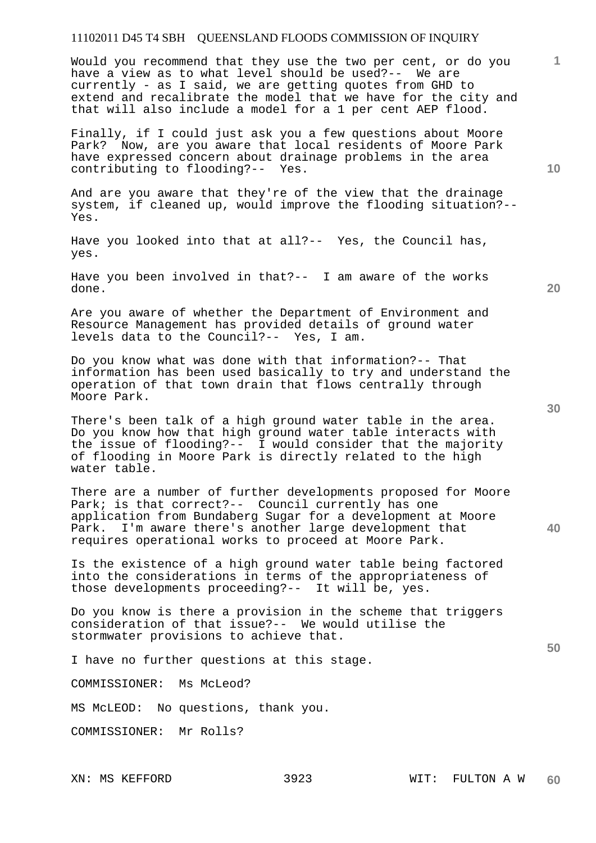Would you recommend that they use the two per cent, or do you have a view as to what level should be used?-- We are currently - as I said, we are getting quotes from GHD to extend and recalibrate the model that we have for the city and that will also include a model for a 1 per cent AEP flood.

Finally, if I could just ask you a few questions about Moore Park? Now, are you aware that local residents of Moore Park have expressed concern about drainage problems in the area contributing to flooding?-- Yes.

And are you aware that they're of the view that the drainage system, if cleaned up, would improve the flooding situation?-- Yes.

Have you looked into that at all?-- Yes, the Council has, yes.

Have you been involved in that?-- I am aware of the works done.

Are you aware of whether the Department of Environment and Resource Management has provided details of ground water levels data to the Council?-- Yes, I am.

Do you know what was done with that information?-- That information has been used basically to try and understand the operation of that town drain that flows centrally through Moore Park.

There's been talk of a high ground water table in the area. Do you know how that high ground water table interacts with the issue of flooding?-- I would consider that the majority of flooding in Moore Park is directly related to the high water table.

There are a number of further developments proposed for Moore Park; is that correct?-- Council currently has one application from Bundaberg Sugar for a development at Moore<br>Park. I'm aware there's another large development that I'm aware there's another large development that requires operational works to proceed at Moore Park.

Is the existence of a high ground water table being factored into the considerations in terms of the appropriateness of those developments proceeding?-- It will be, yes.

Do you know is there a provision in the scheme that triggers consideration of that issue?-- We would utilise the stormwater provisions to achieve that.

I have no further questions at this stage.

COMMISSIONER: Ms McLeod?

MS McLEOD: No questions, thank you.

COMMISSIONER: Mr Rolls?

**10** 

**20** 

**1**

**30** 

**40**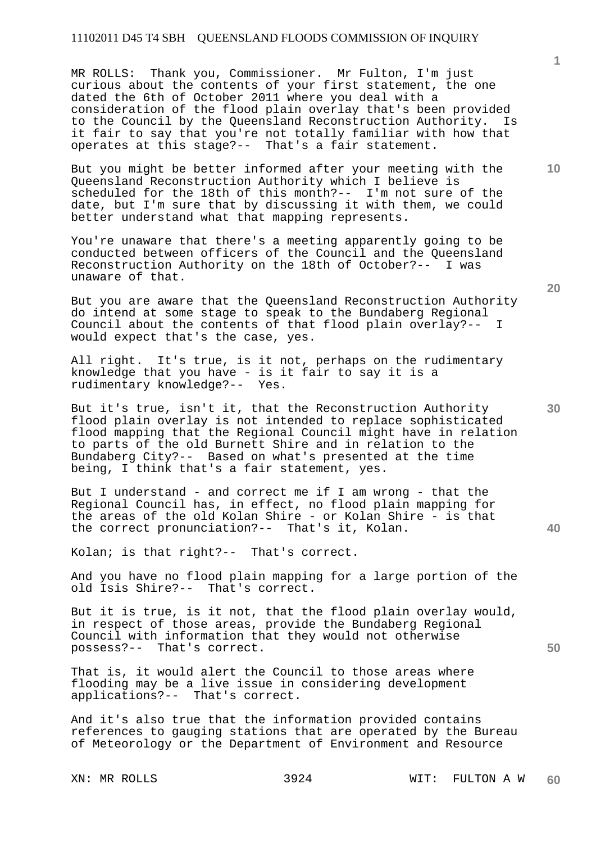MR ROLLS: Thank you, Commissioner. Mr Fulton, I'm just curious about the contents of your first statement, the one dated the 6th of October 2011 where you deal with a consideration of the flood plain overlay that's been provided to the Council by the Queensland Reconstruction Authority. Is it fair to say that you're not totally familiar with how that operates at this stage?-- That's a fair statement.

But you might be better informed after your meeting with the Queensland Reconstruction Authority which I believe is scheduled for the 18th of this month?-- I'm not sure of the date, but I'm sure that by discussing it with them, we could better understand what that mapping represents.

You're unaware that there's a meeting apparently going to be conducted between officers of the Council and the Queensland Reconstruction Authority on the 18th of October?-- I was unaware of that.

But you are aware that the Queensland Reconstruction Authority do intend at some stage to speak to the Bundaberg Regional Council about the contents of that flood plain overlay?-would expect that's the case, yes.

All right. It's true, is it not, perhaps on the rudimentary knowledge that you have - is it fair to say it is a rudimentary knowledge?-- Yes.

But it's true, isn't it, that the Reconstruction Authority flood plain overlay is not intended to replace sophisticated flood mapping that the Regional Council might have in relation to parts of the old Burnett Shire and in relation to the Bundaberg City?-- Based on what's presented at the time being, I think that's a fair statement, yes.

But I understand - and correct me if I am wrong - that the Regional Council has, in effect, no flood plain mapping for the areas of the old Kolan Shire - or Kolan Shire - is that the correct pronunciation?-- That's it, Kolan.

Kolan; is that right?-- That's correct.

And you have no flood plain mapping for a large portion of the old Isis Shire?-- That's correct.

But it is true, is it not, that the flood plain overlay would, in respect of those areas, provide the Bundaberg Regional Council with information that they would not otherwise possess?-- That's correct.

That is, it would alert the Council to those areas where flooding may be a live issue in considering development applications?-- That's correct.

And it's also true that the information provided contains references to gauging stations that are operated by the Bureau of Meteorology or the Department of Environment and Resource

**1**

**20** 

**10** 

**50**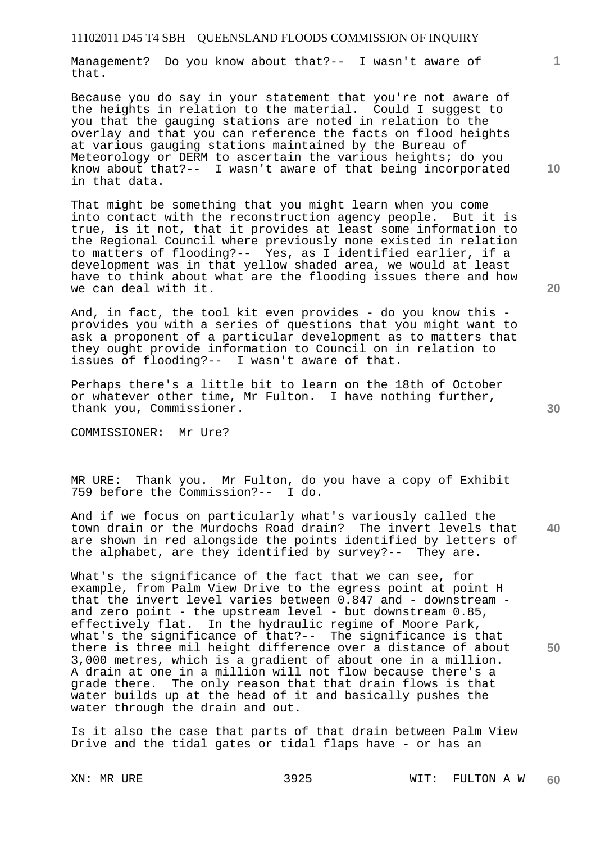Management? Do you know about that?-- I wasn't aware of that.

Because you do say in your statement that you're not aware of the heights in relation to the material. Could I suggest to you that the gauging stations are noted in relation to the overlay and that you can reference the facts on flood heights at various gauging stations maintained by the Bureau of Meteorology or DERM to ascertain the various heights; do you know about that?-- I wasn't aware of that being incorporated in that data.

That might be something that you might learn when you come into contact with the reconstruction agency people. But it is true, is it not, that it provides at least some information to the Regional Council where previously none existed in relation to matters of flooding?-- Yes, as I identified earlier, if a development was in that yellow shaded area, we would at least have to think about what are the flooding issues there and how we can deal with it.

And, in fact, the tool kit even provides - do you know this provides you with a series of questions that you might want to ask a proponent of a particular development as to matters that they ought provide information to Council on in relation to issues of flooding?-- I wasn't aware of that.

Perhaps there's a little bit to learn on the 18th of October or whatever other time, Mr Fulton. I have nothing further, thank you, Commissioner.

COMMISSIONER: Mr Ure?

MR URE: Thank you. Mr Fulton, do you have a copy of Exhibit 759 before the Commission?-- I do.

**40**  And if we focus on particularly what's variously called the town drain or the Murdochs Road drain? The invert levels that are shown in red alongside the points identified by letters of the alphabet, are they identified by survey?-- They are.

What's the significance of the fact that we can see, for example, from Palm View Drive to the egress point at point H that the invert level varies between 0.847 and - downstream and zero point - the upstream level - but downstream 0.85, effectively flat. In the hydraulic regime of Moore Park, what's the significance of that?-- The significance is that there is three mil height difference over a distance of about 3,000 metres, which is a gradient of about one in a million. A drain at one in a million will not flow because there's a grade there. The only reason that that drain flows is that water builds up at the head of it and basically pushes the water through the drain and out.

Is it also the case that parts of that drain between Palm View Drive and the tidal gates or tidal flaps have - or has an

**10** 

**1**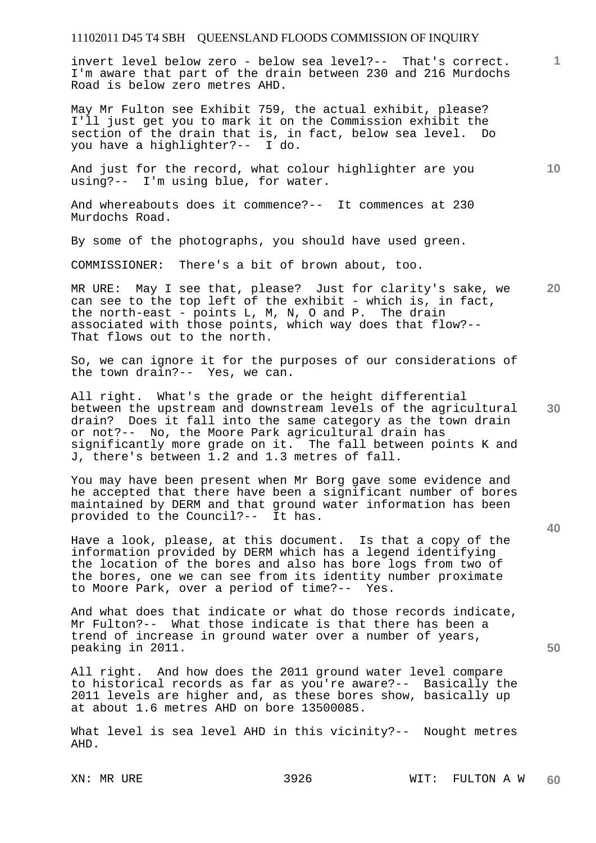invert level below zero - below sea level?-- That's correct. I'm aware that part of the drain between 230 and 216 Murdochs Road is below zero metres AHD.

May Mr Fulton see Exhibit 759, the actual exhibit, please? I'll just get you to mark it on the Commission exhibit the section of the drain that is, in fact, below sea level. Do you have a highlighter?-- I do.

And just for the record, what colour highlighter are you using?-- I'm using blue, for water.

And whereabouts does it commence?-- It commences at 230 Murdochs Road.

By some of the photographs, you should have used green.

COMMISSIONER: There's a bit of brown about, too.

**20**  MR URE: May I see that, please? Just for clarity's sake, we can see to the top left of the exhibit - which is, in fact, the north-east - points L, M, N, O and P. The drain associated with those points, which way does that flow?-- That flows out to the north.

So, we can ignore it for the purposes of our considerations of the town drain?-- Yes, we can.

**30**  All right. What's the grade or the height differential between the upstream and downstream levels of the agricultural drain? Does it fall into the same category as the town drain or not?-- No, the Moore Park agricultural drain has significantly more grade on it. The fall between points K and J, there's between 1.2 and 1.3 metres of fall.

You may have been present when Mr Borg gave some evidence and he accepted that there have been a significant number of bores maintained by DERM and that ground water information has been provided to the Council?-- It has.

Have a look, please, at this document. Is that a copy of the information provided by DERM which has a legend identifying the location of the bores and also has bore logs from two of the bores, one we can see from its identity number proximate to Moore Park, over a period of time?-- Yes.

And what does that indicate or what do those records indicate, Mr Fulton?-- What those indicate is that there has been a trend of increase in ground water over a number of years, peaking in 2011.

All right. And how does the 2011 ground water level compare to historical records as far as you're aware?-- Basically the 2011 levels are higher and, as these bores show, basically up at about 1.6 metres AHD on bore 13500085.

What level is sea level AHD in this vicinity?-- Nought metres AHD.

**10** 

**1**

**40**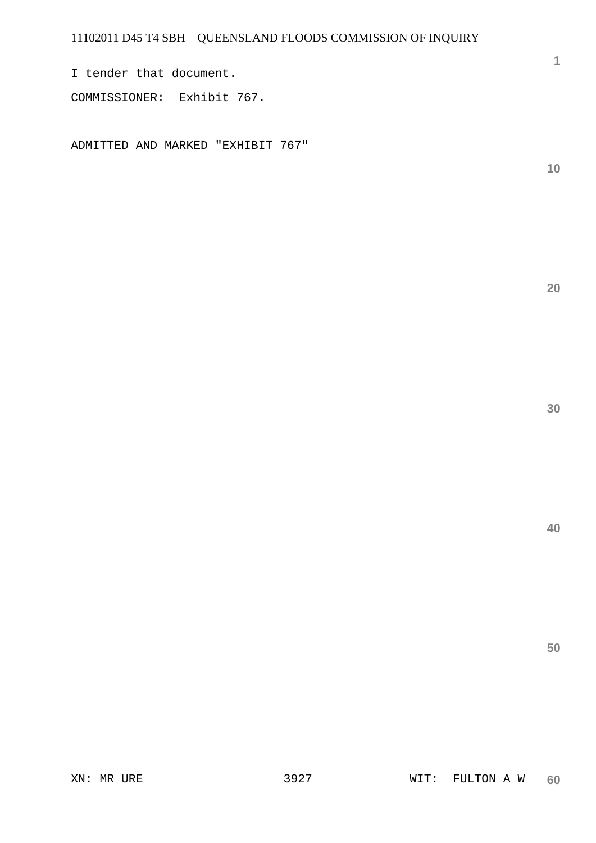I tender that document. COMMISSIONER: Exhibit 767.

ADMITTED AND MARKED "EXHIBIT 767"

**10** 

**1**

**20** 

**30**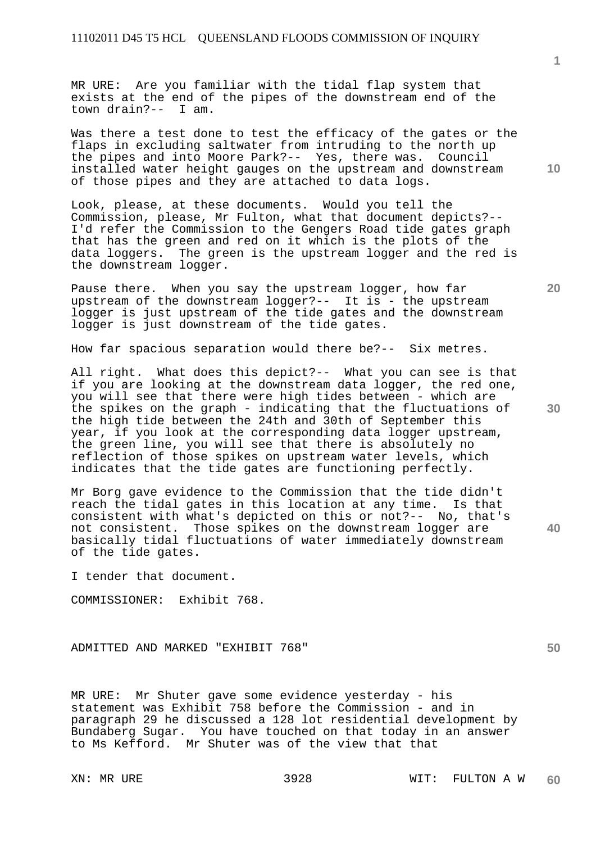MR URE: Are you familiar with the tidal flap system that exists at the end of the pipes of the downstream end of the town drain?-- I am.

Was there a test done to test the efficacy of the gates or the flaps in excluding saltwater from intruding to the north up the pipes and into Moore Park?-- Yes, there was. Council installed water height gauges on the upstream and downstream of those pipes and they are attached to data logs.

Look, please, at these documents. Would you tell the Commission, please, Mr Fulton, what that document depicts?-- I'd refer the Commission to the Gengers Road tide gates graph that has the green and red on it which is the plots of the data loggers. The green is the upstream logger and the red is the downstream logger.

Pause there. When you say the upstream logger, how far upstream of the downstream logger?-- It is - the upstream logger is just upstream of the tide gates and the downstream logger is just downstream of the tide gates.

How far spacious separation would there be?-- Six metres.

All right. What does this depict?-- What you can see is that if you are looking at the downstream data logger, the red one, you will see that there were high tides between - which are the spikes on the graph - indicating that the fluctuations of the high tide between the 24th and 30th of September this year, if you look at the corresponding data logger upstream, the green line, you will see that there is absolutely no reflection of those spikes on upstream water levels, which indicates that the tide gates are functioning perfectly.

Mr Borg gave evidence to the Commission that the tide didn't reach the tidal gates in this location at any time. Is that consistent with what's depicted on this or not?-- No, that's not consistent. Those spikes on the downstream logger are basically tidal fluctuations of water immediately downstream of the tide gates.

I tender that document.

COMMISSIONER: Exhibit 768.

ADMITTED AND MARKED "EXHIBIT 768"

MR URE: Mr Shuter gave some evidence yesterday - his statement was Exhibit 758 before the Commission - and in paragraph 29 he discussed a 128 lot residential development by Bundaberg Sugar. You have touched on that today in an answer to Ms Kefford. Mr Shuter was of the view that that

**10** 

**30** 

**40**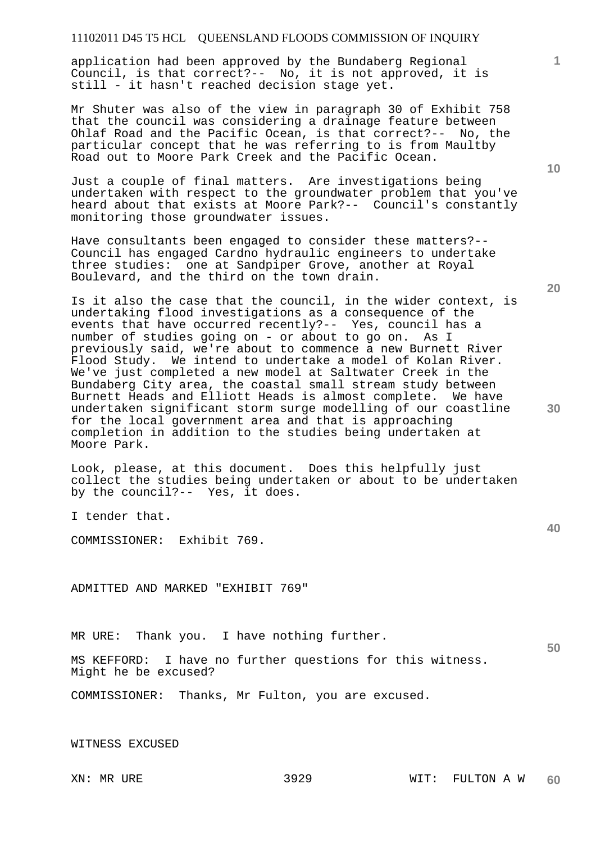application had been approved by the Bundaberg Regional Council, is that correct?-- No, it is not approved, it is still - it hasn't reached decision stage yet.

Mr Shuter was also of the view in paragraph 30 of Exhibit 758 that the council was considering a drainage feature between Ohlaf Road and the Pacific Ocean, is that correct?-- No, the particular concept that he was referring to is from Maultby Road out to Moore Park Creek and the Pacific Ocean.

Just a couple of final matters. Are investigations being undertaken with respect to the groundwater problem that you've heard about that exists at Moore Park?-- Council's constantly monitoring those groundwater issues.

Have consultants been engaged to consider these matters?-- Council has engaged Cardno hydraulic engineers to undertake three studies: one at Sandpiper Grove, another at Royal Boulevard, and the third on the town drain.

Is it also the case that the council, in the wider context, is undertaking flood investigations as a consequence of the events that have occurred recently?-- Yes, council has a number of studies going on - or about to go on. As I previously said, we're about to commence a new Burnett River Flood Study. We intend to undertake a model of Kolan River. We've just completed a new model at Saltwater Creek in the Bundaberg City area, the coastal small stream study between Burnett Heads and Elliott Heads is almost complete. We have undertaken significant storm surge modelling of our coastline for the local government area and that is approaching completion in addition to the studies being undertaken at Moore Park.

Look, please, at this document. Does this helpfully just collect the studies being undertaken or about to be undertaken by the council?-- Yes, it does.

I tender that.

COMMISSIONER: Exhibit 769.

ADMITTED AND MARKED "EXHIBIT 769"

MR URE: Thank you. I have nothing further.

MS KEFFORD: I have no further questions for this witness. Might he be excused?

COMMISSIONER: Thanks, Mr Fulton, you are excused.

WITNESS EXCUSED

**10** 

**1**

**40**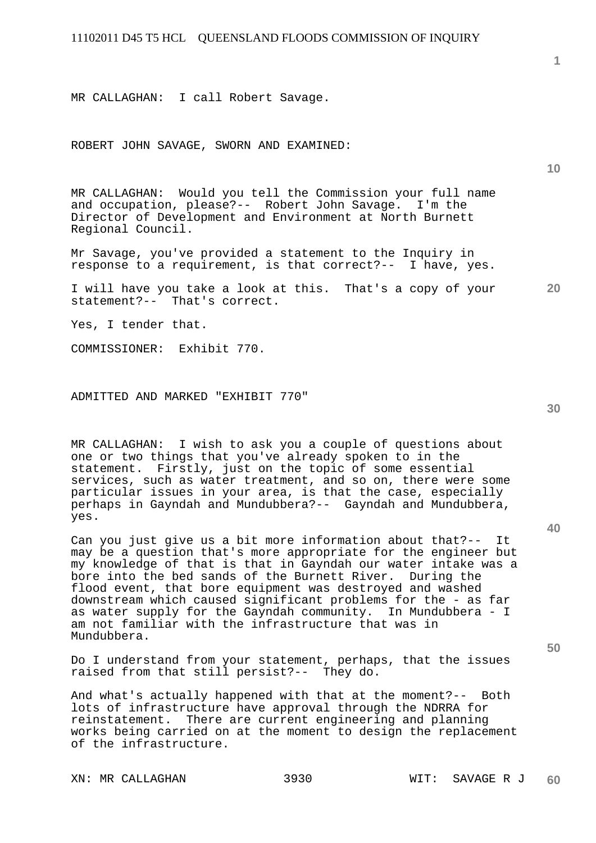MR CALLAGHAN: I call Robert Savage.

ROBERT JOHN SAVAGE, SWORN AND EXAMINED:

MR CALLAGHAN: Would you tell the Commission your full name and occupation, please?-- Robert John Savage. I'm the Director of Development and Environment at North Burnett Regional Council.

Mr Savage, you've provided a statement to the Inquiry in response to a requirement, is that correct?-- I have, yes.

**20**  I will have you take a look at this. That's a copy of your statement?-- That's correct.

Yes, I tender that.

COMMISSIONER: Exhibit 770.

ADMITTED AND MARKED "EXHIBIT 770"

MR CALLAGHAN: I wish to ask you a couple of questions about one or two things that you've already spoken to in the statement. Firstly, just on the topic of some essential services, such as water treatment, and so on, there were some particular issues in your area, is that the case, especially perhaps in Gayndah and Mundubbera?-- Gayndah and Mundubbera, yes.

Can you just give us a bit more information about that?-- It may be a question that's more appropriate for the engineer but my knowledge of that is that in Gayndah our water intake was a bore into the bed sands of the Burnett River. During the flood event, that bore equipment was destroyed and washed downstream which caused significant problems for the - as far as water supply for the Gayndah community. In Mundubbera - I am not familiar with the infrastructure that was in Mundubbera.

Do I understand from your statement, perhaps, that the issues raised from that still persist?-- They do.

And what's actually happened with that at the moment?-- Both lots of infrastructure have approval through the NDRRA for reinstatement. There are current engineering and planning works being carried on at the moment to design the replacement of the infrastructure.

**10** 

**1**

**40**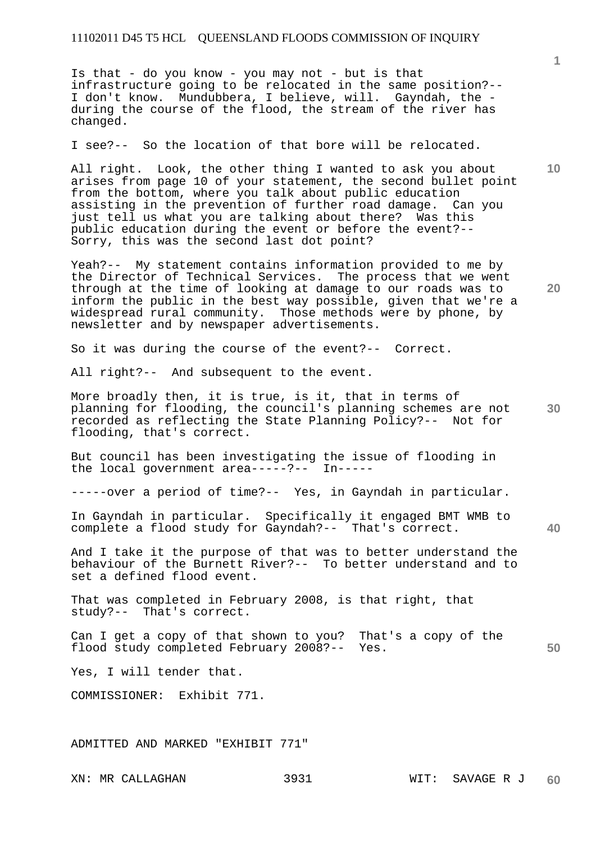Is that - do you know - you may not - but is that infrastructure going to be relocated in the same position?-- I don't know. Mundubbera, I believe, will. Gayndah, the during the course of the flood, the stream of the river has changed.

I see?-- So the location of that bore will be relocated.

All right. Look, the other thing I wanted to ask you about arises from page 10 of your statement, the second bullet point from the bottom, where you talk about public education assisting in the prevention of further road damage. Can you just tell us what you are talking about there? Was this public education during the event or before the event?-- Sorry, this was the second last dot point?

Yeah?-- My statement contains information provided to me by the Director of Technical Services. The process that we went through at the time of looking at damage to our roads was to inform the public in the best way possible, given that we're a widespread rural community. Those methods were by phone, by newsletter and by newspaper advertisements.

So it was during the course of the event?-- Correct.

All right?-- And subsequent to the event.

More broadly then, it is true, is it, that in terms of planning for flooding, the council's planning schemes are not recorded as reflecting the State Planning Policy?-- Not for flooding, that's correct.

But council has been investigating the issue of flooding in the local government area-----?-- In-----

-----over a period of time?-- Yes, in Gayndah in particular.

In Gayndah in particular. Specifically it engaged BMT WMB to complete a flood study for Gayndah?-- That's correct.

And I take it the purpose of that was to better understand the behaviour of the Burnett River?-- To better understand and to set a defined flood event.

That was completed in February 2008, is that right, that study?-- That's correct.

**50**  Can I get a copy of that shown to you? That's a copy of the flood study completed February 2008?-- Yes.

Yes, I will tender that.

COMMISSIONER: Exhibit 771.

ADMITTED AND MARKED "EXHIBIT 771"

**10** 

**1**

**30** 

**40**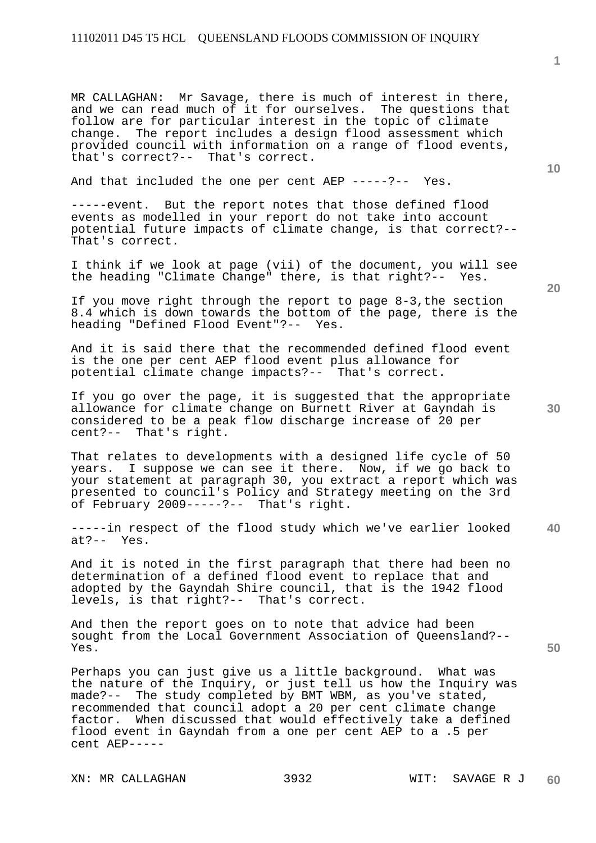MR CALLAGHAN: Mr Savage, there is much of interest in there, and we can read much of it for ourselves. The questions that follow are for particular interest in the topic of climate change. The report includes a design flood assessment which provided council with information on a range of flood events, that's correct?-- That's correct.

And that included the one per cent AEP -----?-- Yes.

-----event. But the report notes that those defined flood events as modelled in your report do not take into account potential future impacts of climate change, is that correct?-- That's correct.

I think if we look at page (vii) of the document, you will see the heading "Climate Change" there, is that right?-- Yes.

If you move right through the report to page 8-3,the section 8.4 which is down towards the bottom of the page, there is the heading "Defined Flood Event"?-- Yes.

And it is said there that the recommended defined flood event is the one per cent AEP flood event plus allowance for potential climate change impacts?-- That's correct.

If you go over the page, it is suggested that the appropriate allowance for climate change on Burnett River at Gayndah is considered to be a peak flow discharge increase of 20 per cent?-- That's right.

That relates to developments with a designed life cycle of 50 years. I suppose we can see it there. Now, if we go back to your statement at paragraph 30, you extract a report which was presented to council's Policy and Strategy meeting on the 3rd of February 2009-----?-- That's right.

**40**  -----in respect of the flood study which we've earlier looked at?-- Yes.

And it is noted in the first paragraph that there had been no determination of a defined flood event to replace that and adopted by the Gayndah Shire council, that is the 1942 flood levels, is that right?-- That's correct.

And then the report goes on to note that advice had been sought from the Local Government Association of Queensland?-- Yes.

Perhaps you can just give us a little background. What was the nature of the Inquiry, or just tell us how the Inquiry was made?-- The study completed by BMT WBM, as you've stated, recommended that council adopt a 20 per cent climate change factor. When discussed that would effectively take a defined flood event in Gayndah from a one per cent AEP to a .5 per cent AEP-----

**1**

**20**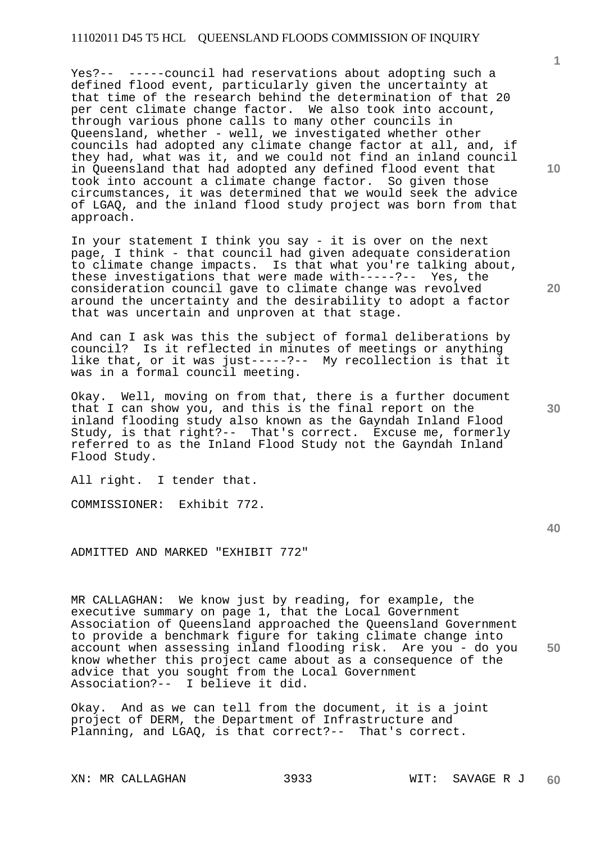Yes?-- -----council had reservations about adopting such a defined flood event, particularly given the uncertainty at that time of the research behind the determination of that 20 per cent climate change factor. We also took into account, through various phone calls to many other councils in Queensland, whether - well, we investigated whether other councils had adopted any climate change factor at all, and, if they had, what was it, and we could not find an inland council in Queensland that had adopted any defined flood event that took into account a climate change factor. So given those circumstances, it was determined that we would seek the advice of LGAQ, and the inland flood study project was born from that approach.

In your statement I think you say - it is over on the next page, I think - that council had given adequate consideration to climate change impacts. Is that what you're talking about, these investigations that were made with-----?-- Yes, the consideration council gave to climate change was revolved around the uncertainty and the desirability to adopt a factor that was uncertain and unproven at that stage.

And can I ask was this the subject of formal deliberations by council? Is it reflected in minutes of meetings or anything like that, or it was just-----?-- My recollection is that it was in a formal council meeting.

Okay. Well, moving on from that, there is a further document that I can show you, and this is the final report on the inland flooding study also known as the Gayndah Inland Flood Study, is that right?-- That's correct. Excuse me, formerly referred to as the Inland Flood Study not the Gayndah Inland Flood Study.

All right. I tender that.

COMMISSIONER: Exhibit 772.

ADMITTED AND MARKED "EXHIBIT 772"

**50**  MR CALLAGHAN: We know just by reading, for example, the executive summary on page 1, that the Local Government Association of Queensland approached the Queensland Government to provide a benchmark figure for taking climate change into account when assessing inland flooding risk. Are you - do you know whether this project came about as a consequence of the advice that you sought from the Local Government Association?-- I believe it did.

Okay. And as we can tell from the document, it is a joint project of DERM, the Department of Infrastructure and Planning, and LGAQ, is that correct?-- That's correct.

XN: MR CALLAGHAN 3933 WIT: SAVAGE R J

**1**

**20**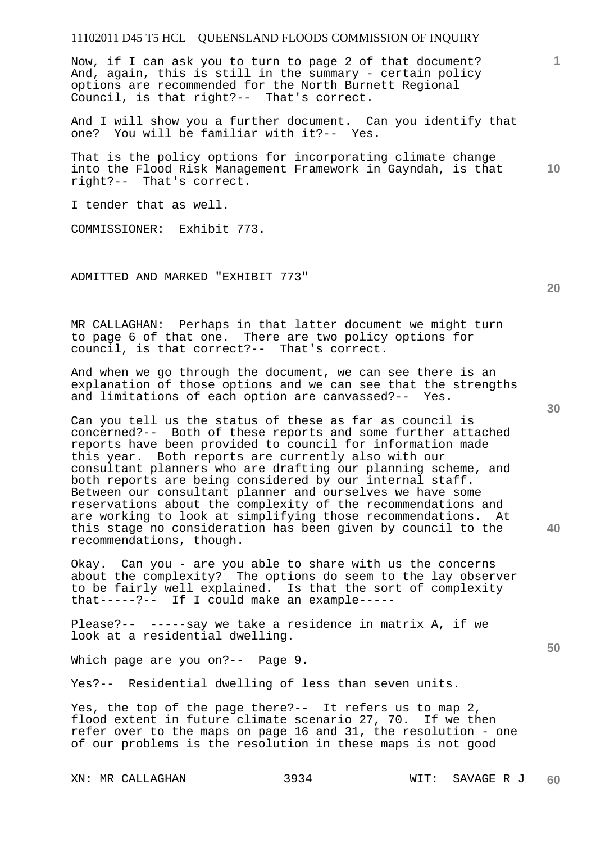Now, if I can ask you to turn to page 2 of that document? And, again, this is still in the summary - certain policy options are recommended for the North Burnett Regional Council, is that right?-- That's correct.

And I will show you a further document. Can you identify that<br>one? You will be familiar with it?-- Yes. one? You will be familiar with it?--

**10**  That is the policy options for incorporating climate change into the Flood Risk Management Framework in Gayndah, is that right?-- That's correct.

I tender that as well.

COMMISSIONER: Exhibit 773.

ADMITTED AND MARKED "EXHIBIT 773"

MR CALLAGHAN: Perhaps in that latter document we might turn to page 6 of that one. There are two policy options for council, is that correct?-- That's correct.

And when we go through the document, we can see there is an explanation of those options and we can see that the strengths and limitations of each option are canvassed?-- Yes.

Can you tell us the status of these as far as council is concerned?-- Both of these reports and some further attached reports have been provided to council for information made this year. Both reports are currently also with our consultant planners who are drafting our planning scheme, and both reports are being considered by our internal staff. Between our consultant planner and ourselves we have some reservations about the complexity of the recommendations and are working to look at simplifying those recommendations. At this stage no consideration has been given by council to the recommendations, though.

Okay. Can you - are you able to share with us the concerns about the complexity? The options do seem to the lay observer to be fairly well explained. Is that the sort of complexity that-----?-- If I could make an example-----

Please?-- -----say we take a residence in matrix A, if we look at a residential dwelling.

Which page are you on?-- Page 9.

Yes?-- Residential dwelling of less than seven units.

Yes, the top of the page there?-- It refers us to map 2, flood extent in future climate scenario 27, 70. If we then refer over to the maps on page 16 and 31, the resolution - one of our problems is the resolution in these maps is not good

**30** 

**20** 

**40** 

**50**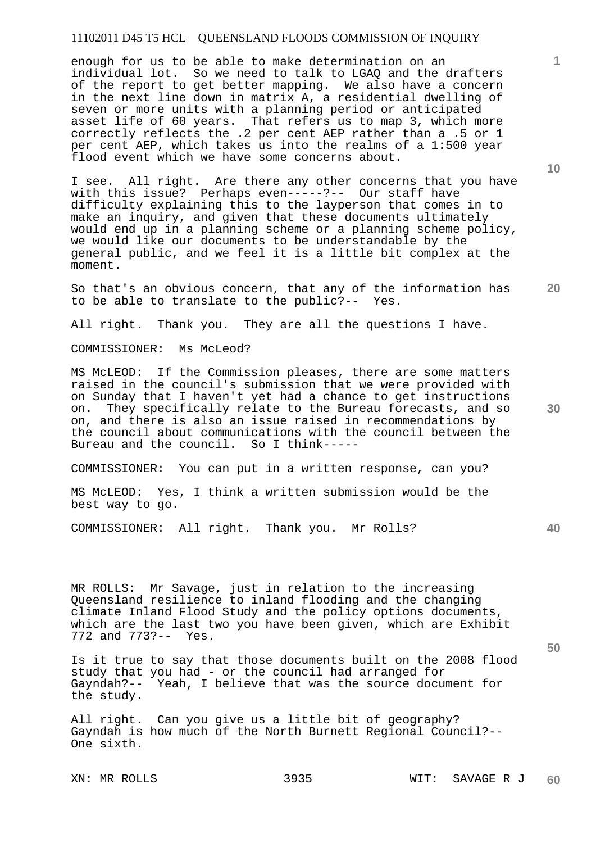enough for us to be able to make determination on an individual lot. So we need to talk to LGAQ and the drafters of the report to get better mapping. We also have a concern in the next line down in matrix A, a residential dwelling of seven or more units with a planning period or anticipated asset life of 60 years. That refers us to map 3, which more correctly reflects the .2 per cent AEP rather than a .5 or 1 per cent AEP, which takes us into the realms of a 1:500 year flood event which we have some concerns about.

I see. All right. Are there any other concerns that you have with this issue? Perhaps even-----?-- Our staff have difficulty explaining this to the layperson that comes in to make an inquiry, and given that these documents ultimately would end up in a planning scheme or a planning scheme policy, we would like our documents to be understandable by the general public, and we feel it is a little bit complex at the moment.

So that's an obvious concern, that any of the information has to be able to translate to the public?-- Yes.

All right. Thank you. They are all the questions I have.

COMMISSIONER: Ms McLeod?

MS McLEOD: If the Commission pleases, there are some matters raised in the council's submission that we were provided with on Sunday that I haven't yet had a chance to get instructions on. They specifically relate to the Bureau forecasts, and so on, and there is also an issue raised in recommendations by the council about communications with the council between the Bureau and the council. So I think-----

COMMISSIONER: You can put in a written response, can you?

MS McLEOD: Yes, I think a written submission would be the best way to go.

COMMISSIONER: All right. Thank you. Mr Rolls?

MR ROLLS: Mr Savage, just in relation to the increasing Queensland resilience to inland flooding and the changing climate Inland Flood Study and the policy options documents, which are the last two you have been given, which are Exhibit 772 and 773?-- Yes.

Is it true to say that those documents built on the 2008 flood study that you had - or the council had arranged for Gayndah?-- Yeah, I believe that was the source document for the study.

All right. Can you give us a little bit of geography? Gayndah is how much of the North Burnett Regional Council?-- One sixth.

**10** 

**1**

**20** 

**50**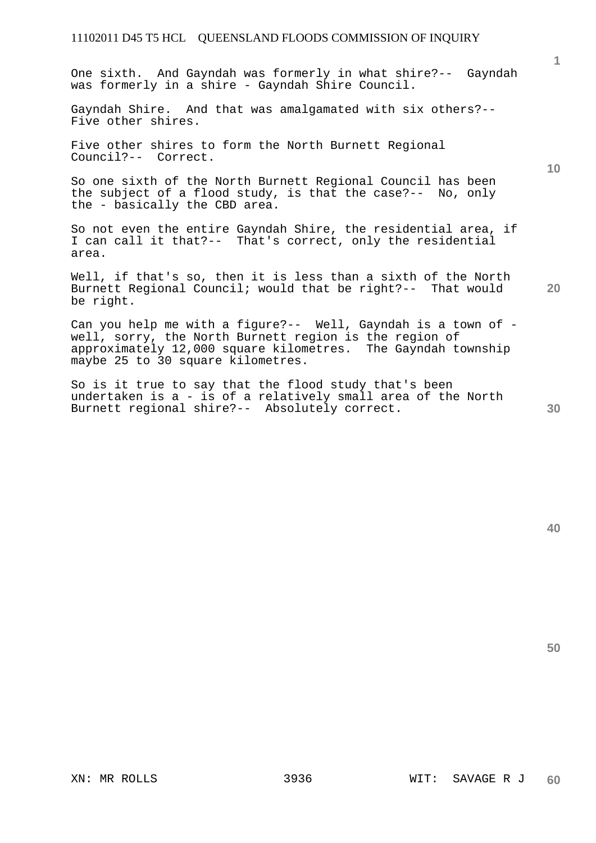One sixth. And Gayndah was formerly in what shire?-- Gayndah was formerly in a shire - Gayndah Shire Council.

Gayndah Shire. And that was amalgamated with six others?-- Five other shires.

Five other shires to form the North Burnett Regional Council?-- Correct.

So one sixth of the North Burnett Regional Council has been the subject of a flood study, is that the case?-- No, only the - basically the CBD area.

So not even the entire Gayndah Shire, the residential area, if I can call it that?-- That's correct, only the residential area.

Well, if that's so, then it is less than a sixth of the North Burnett Regional Council; would that be right?-- That would be right.

Can you help me with a figure?-- Well, Gayndah is a town of well, sorry, the North Burnett region is the region of approximately 12,000 square kilometres. The Gayndah township maybe 25 to 30 square kilometres.

So is it true to say that the flood study that's been undertaken is a - is of a relatively small area of the North Burnett regional shire?-- Absolutely correct.

**20** 

**1**

**10** 

**50**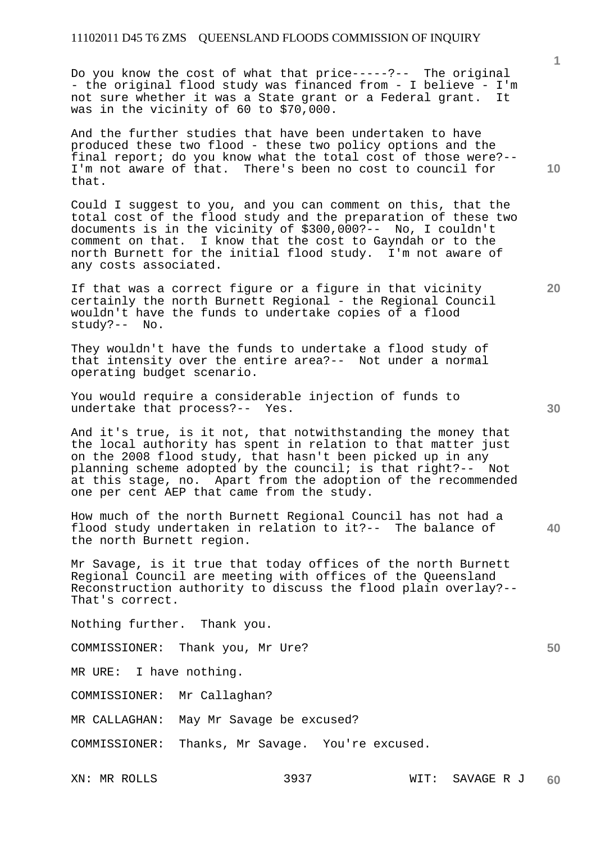Do you know the cost of what that price-----?-- The original - the original flood study was financed from - I believe - I'm not sure whether it was a State grant or a Federal grant. It was in the vicinity of 60 to \$70,000.

And the further studies that have been undertaken to have produced these two flood - these two policy options and the final report; do you know what the total cost of those were?-- I'm not aware of that. There's been no cost to council for that.

Could I suggest to you, and you can comment on this, that the total cost of the flood study and the preparation of these two documents is in the vicinity of \$300,000?-- No, I couldn't comment on that. I know that the cost to Gayndah or to the north Burnett for the initial flood study. I'm not aware of any costs associated.

If that was a correct figure or a figure in that vicinity certainly the north Burnett Regional - the Regional Council wouldn't have the funds to undertake copies of a flood study?-- No.

They wouldn't have the funds to undertake a flood study of that intensity over the entire area?-- Not under a normal operating budget scenario.

You would require a considerable injection of funds to undertake that process?-- Yes.

And it's true, is it not, that notwithstanding the money that the local authority has spent in relation to that matter just on the 2008 flood study, that hasn't been picked up in any planning scheme adopted by the council; is that right?-- Not at this stage, no. Apart from the adoption of the recommended one per cent AEP that came from the study.

How much of the north Burnett Regional Council has not had a flood study undertaken in relation to it?-- The balance of the north Burnett region.

Mr Savage, is it true that today offices of the north Burnett Regional Council are meeting with offices of the Queensland Reconstruction authority to discuss the flood plain overlay?-- That's correct.

Nothing further. Thank you.

COMMISSIONER: Thank you, Mr Ure?

MR URE: I have nothing.

COMMISSIONER: Mr Callaghan?

MR CALLAGHAN: May Mr Savage be excused?

COMMISSIONER: Thanks, Mr Savage. You're excused.

**1**

**30** 

**40** 

**20**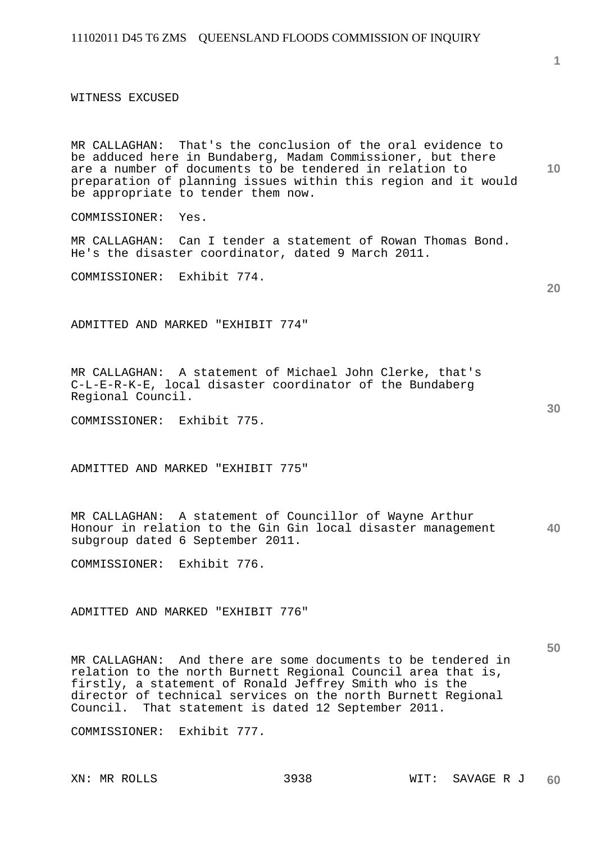WITNESS EXCUSED

MR CALLAGHAN: That's the conclusion of the oral evidence to be adduced here in Bundaberg, Madam Commissioner, but there are a number of documents to be tendered in relation to preparation of planning issues within this region and it would be appropriate to tender them now.

COMMISSIONER: Yes.

MR CALLAGHAN: Can I tender a statement of Rowan Thomas Bond. He's the disaster coordinator, dated 9 March 2011.

COMMISSIONER: Exhibit 774.

ADMITTED AND MARKED "EXHIBIT 774"

MR CALLAGHAN: A statement of Michael John Clerke, that's C-L-E-R-K-E, local disaster coordinator of the Bundaberg Regional Council.

COMMISSIONER: Exhibit 775.

ADMITTED AND MARKED "EXHIBIT 775"

**40**  MR CALLAGHAN: A statement of Councillor of Wayne Arthur Honour in relation to the Gin Gin local disaster management subgroup dated 6 September 2011.

COMMISSIONER: Exhibit 776.

ADMITTED AND MARKED "EXHIBIT 776"

MR CALLAGHAN: And there are some documents to be tendered in relation to the north Burnett Regional Council area that is, firstly, a statement of Ronald Jeffrey Smith who is the director of technical services on the north Burnett Regional Council. That statement is dated 12 September 2011.

COMMISSIONER: Exhibit 777.

**10** 

**30**